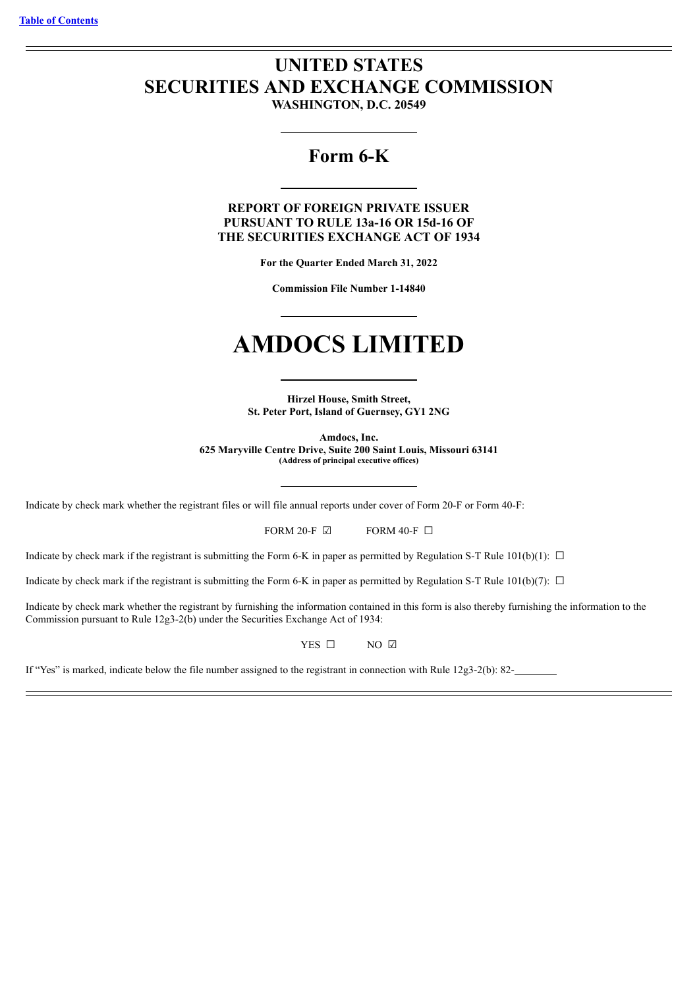# **UNITED STATES SECURITIES AND EXCHANGE COMMISSION**

**WASHINGTON, D.C. 20549**

## **Form 6-K**

**REPORT OF FOREIGN PRIVATE ISSUER PURSUANT TO RULE 13a-16 OR 15d-16 OF THE SECURITIES EXCHANGE ACT OF 1934**

**For the Quarter Ended March 31, 2022**

**Commission File Number 1-14840**

# **AMDOCS LIMITED**

**Hirzel House, Smith Street, St. Peter Port, Island of Guernsey, GY1 2NG**

**Amdocs, Inc. 625 Maryville Centre Drive, Suite 200 Saint Louis, Missouri 63141 (Address of principal executive offices)**

Indicate by check mark whether the registrant files or will file annual reports under cover of Form 20-F or Form 40-F:

FORM 20-F  $\boxdot$  FORM 40-F  $\Box$ 

Indicate by check mark if the registrant is submitting the Form 6-K in paper as permitted by Regulation S-T Rule 101(b)(1):  $\Box$ 

Indicate by check mark if the registrant is submitting the Form 6-K in paper as permitted by Regulation S-T Rule 101(b)(7):  $\Box$ 

Indicate by check mark whether the registrant by furnishing the information contained in this form is also thereby furnishing the information to the Commission pursuant to Rule 12g3-2(b) under the Securities Exchange Act of 1934:

YES □ NO ☑

If "Yes" is marked, indicate below the file number assigned to the registrant in connection with Rule 12g3-2(b): 82-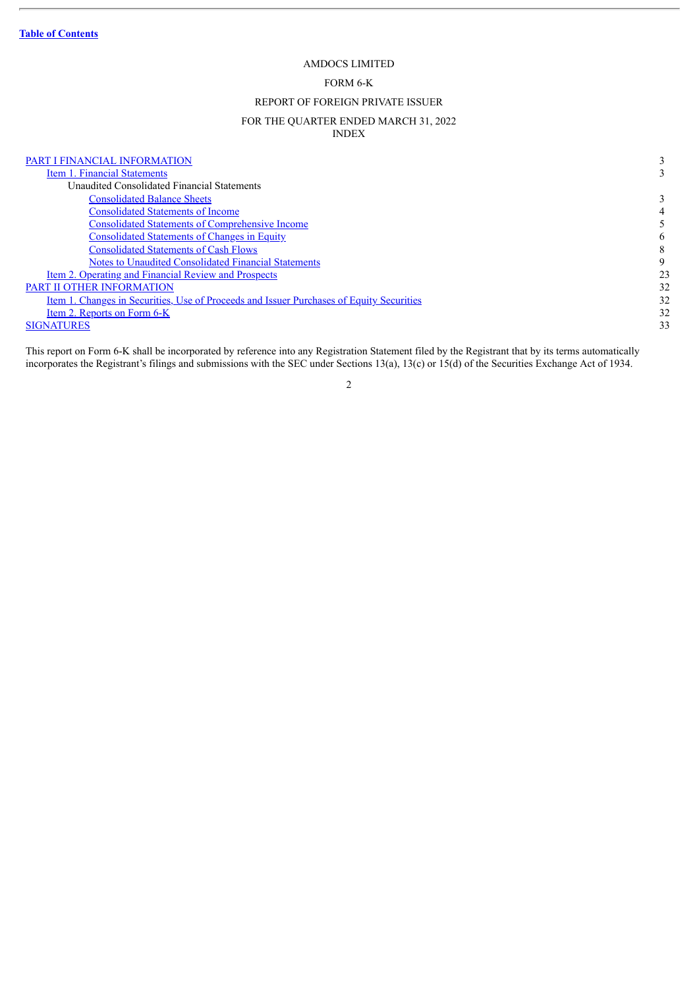### AMDOCS LIMITED

### FORM 6-K

### REPORT OF FOREIGN PRIVATE ISSUER

### FOR THE QUARTER ENDED MARCH 31, 2022 INDEX

<span id="page-1-0"></span>

| PART I FINANCIAL INFORMATION                                                             |    |
|------------------------------------------------------------------------------------------|----|
| Item 1. Financial Statements                                                             |    |
| Unaudited Consolidated Financial Statements                                              |    |
| <b>Consolidated Balance Sheets</b>                                                       |    |
| <b>Consolidated Statements of Income</b>                                                 |    |
| <b>Consolidated Statements of Comprehensive Income</b>                                   |    |
| <b>Consolidated Statements of Changes in Equity</b>                                      | 6  |
| <b>Consolidated Statements of Cash Flows</b>                                             |    |
| Notes to Unaudited Consolidated Financial Statements                                     | 9  |
| <u>Item 2. Operating and Financial Review and Prospects</u>                              | 23 |
| PART II OTHER INFORMATION                                                                | 32 |
| Item 1. Changes in Securities, Use of Proceeds and Issuer Purchases of Equity Securities | 32 |
| Item 2. Reports on Form 6-K                                                              | 32 |
| <b>SIGNATURES</b>                                                                        | 33 |

This report on Form 6-K shall be incorporated by reference into any Registration Statement filed by the Registrant that by its terms automatically incorporates the Registrant's filings and submissions with the SEC under Sections 13(a), 13(c) or 15(d) of the Securities Exchange Act of 1934.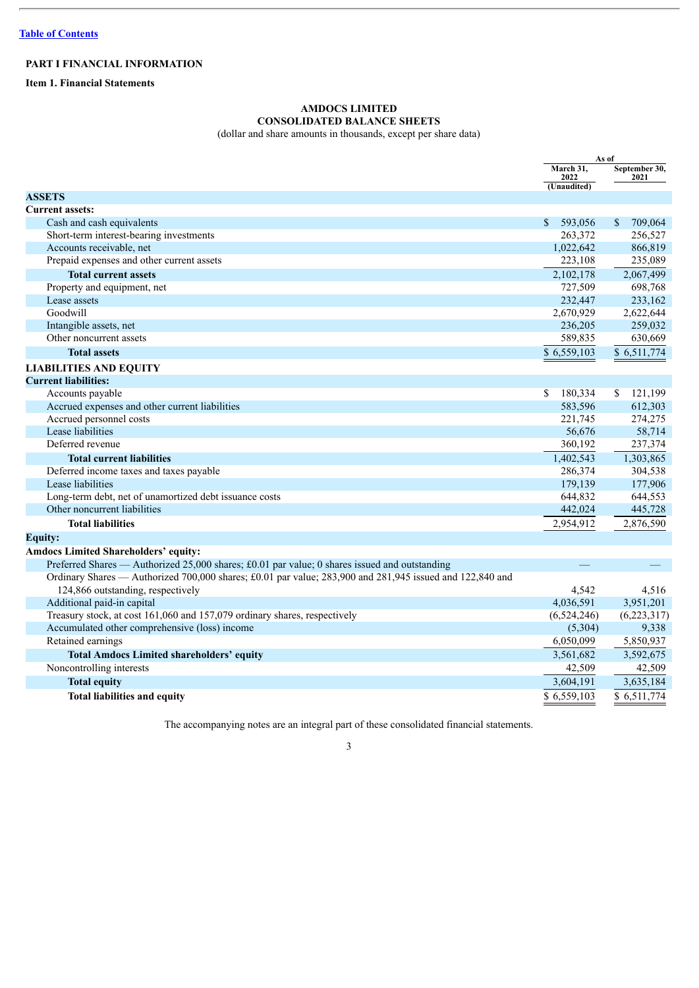### <span id="page-2-0"></span>**PART I FINANCIAL INFORMATION**

<span id="page-2-2"></span><span id="page-2-1"></span>**Item 1. Financial Statements**

### **AMDOCS LIMITED CONSOLIDATED BALANCE SHEETS**

(dollar and share amounts in thousands, except per share data)

| March 31,<br>September 30,<br>2022<br>2021<br>(Unaudited)<br><b>ASSETS</b><br><b>Current assets:</b><br>Cash and cash equivalents<br>593,056<br>709,064<br>\$<br><sup>\$</sup><br>Short-term interest-bearing investments<br>263,372<br>256,527<br>1,022,642<br>866,819<br>Accounts receivable, net<br>Prepaid expenses and other current assets<br>223,108<br>235,089<br><b>Total current assets</b><br>2,102,178<br>2,067,499<br>Property and equipment, net<br>727,509<br>698,768<br>Lease assets<br>232,447<br>233,162<br>Goodwill<br>2,670,929<br>2,622,644<br>259,032<br>236,205<br>Intangible assets, net<br>589,835<br>630,669<br>Other noncurrent assets<br>\$6,559,103<br>\$6,511,774<br><b>Total assets</b><br><b>LIABILITIES AND EQUITY</b><br><b>Current liabilities:</b><br>\$<br>180,334<br><sup>\$</sup><br>121,199<br>Accounts payable<br>583,596<br>Accrued expenses and other current liabilities<br>612,303<br>Accrued personnel costs<br>221,745<br>274,275<br>Lease liabilities<br>58,714<br>56,676<br>Deferred revenue<br>360,192<br>237,374<br>1,402,543<br>1,303,865<br><b>Total current liabilities</b><br>286,374<br>304,538<br>Deferred income taxes and taxes payable<br>Lease liabilities<br>179,139<br>177,906<br>Long-term debt, net of unamortized debt issuance costs<br>644,832<br>644,553<br>Other noncurrent liabilities<br>442,024<br>445,728<br><b>Total liabilities</b><br>2,876,590<br>2,954,912<br><b>Equity:</b><br><b>Amdocs Limited Shareholders' equity:</b><br>Preferred Shares — Authorized 25,000 shares; £0.01 par value; 0 shares issued and outstanding<br>Ordinary Shares — Authorized 700,000 shares; £0.01 par value; 283,900 and 281,945 issued and 122,840 and<br>124,866 outstanding, respectively<br>4,542<br>4,516<br>4,036,591<br>3,951,201<br>Additional paid-in capital<br>Treasury stock, at cost 161,060 and 157,079 ordinary shares, respectively<br>(6,524,246)<br>Accumulated other comprehensive (loss) income<br>9,338<br>(5,304)<br>Retained earnings<br>5,850,937<br>6,050,099<br>3,592,675<br>3,561,682<br><b>Total Amdocs Limited shareholders' equity</b> |                          |        | As of  |
|--------------------------------------------------------------------------------------------------------------------------------------------------------------------------------------------------------------------------------------------------------------------------------------------------------------------------------------------------------------------------------------------------------------------------------------------------------------------------------------------------------------------------------------------------------------------------------------------------------------------------------------------------------------------------------------------------------------------------------------------------------------------------------------------------------------------------------------------------------------------------------------------------------------------------------------------------------------------------------------------------------------------------------------------------------------------------------------------------------------------------------------------------------------------------------------------------------------------------------------------------------------------------------------------------------------------------------------------------------------------------------------------------------------------------------------------------------------------------------------------------------------------------------------------------------------------------------------------------------------------------------------------------------------------------------------------------------------------------------------------------------------------------------------------------------------------------------------------------------------------------------------------------------------------------------------------------------------------------------------------------------------------------------------------------------------------------------------------------------------------------------------|--------------------------|--------|--------|
|                                                                                                                                                                                                                                                                                                                                                                                                                                                                                                                                                                                                                                                                                                                                                                                                                                                                                                                                                                                                                                                                                                                                                                                                                                                                                                                                                                                                                                                                                                                                                                                                                                                                                                                                                                                                                                                                                                                                                                                                                                                                                                                                      |                          |        |        |
|                                                                                                                                                                                                                                                                                                                                                                                                                                                                                                                                                                                                                                                                                                                                                                                                                                                                                                                                                                                                                                                                                                                                                                                                                                                                                                                                                                                                                                                                                                                                                                                                                                                                                                                                                                                                                                                                                                                                                                                                                                                                                                                                      |                          |        |        |
|                                                                                                                                                                                                                                                                                                                                                                                                                                                                                                                                                                                                                                                                                                                                                                                                                                                                                                                                                                                                                                                                                                                                                                                                                                                                                                                                                                                                                                                                                                                                                                                                                                                                                                                                                                                                                                                                                                                                                                                                                                                                                                                                      |                          |        |        |
|                                                                                                                                                                                                                                                                                                                                                                                                                                                                                                                                                                                                                                                                                                                                                                                                                                                                                                                                                                                                                                                                                                                                                                                                                                                                                                                                                                                                                                                                                                                                                                                                                                                                                                                                                                                                                                                                                                                                                                                                                                                                                                                                      |                          |        |        |
|                                                                                                                                                                                                                                                                                                                                                                                                                                                                                                                                                                                                                                                                                                                                                                                                                                                                                                                                                                                                                                                                                                                                                                                                                                                                                                                                                                                                                                                                                                                                                                                                                                                                                                                                                                                                                                                                                                                                                                                                                                                                                                                                      |                          |        |        |
|                                                                                                                                                                                                                                                                                                                                                                                                                                                                                                                                                                                                                                                                                                                                                                                                                                                                                                                                                                                                                                                                                                                                                                                                                                                                                                                                                                                                                                                                                                                                                                                                                                                                                                                                                                                                                                                                                                                                                                                                                                                                                                                                      |                          |        |        |
|                                                                                                                                                                                                                                                                                                                                                                                                                                                                                                                                                                                                                                                                                                                                                                                                                                                                                                                                                                                                                                                                                                                                                                                                                                                                                                                                                                                                                                                                                                                                                                                                                                                                                                                                                                                                                                                                                                                                                                                                                                                                                                                                      |                          |        |        |
|                                                                                                                                                                                                                                                                                                                                                                                                                                                                                                                                                                                                                                                                                                                                                                                                                                                                                                                                                                                                                                                                                                                                                                                                                                                                                                                                                                                                                                                                                                                                                                                                                                                                                                                                                                                                                                                                                                                                                                                                                                                                                                                                      |                          |        |        |
|                                                                                                                                                                                                                                                                                                                                                                                                                                                                                                                                                                                                                                                                                                                                                                                                                                                                                                                                                                                                                                                                                                                                                                                                                                                                                                                                                                                                                                                                                                                                                                                                                                                                                                                                                                                                                                                                                                                                                                                                                                                                                                                                      |                          |        |        |
|                                                                                                                                                                                                                                                                                                                                                                                                                                                                                                                                                                                                                                                                                                                                                                                                                                                                                                                                                                                                                                                                                                                                                                                                                                                                                                                                                                                                                                                                                                                                                                                                                                                                                                                                                                                                                                                                                                                                                                                                                                                                                                                                      |                          |        |        |
|                                                                                                                                                                                                                                                                                                                                                                                                                                                                                                                                                                                                                                                                                                                                                                                                                                                                                                                                                                                                                                                                                                                                                                                                                                                                                                                                                                                                                                                                                                                                                                                                                                                                                                                                                                                                                                                                                                                                                                                                                                                                                                                                      |                          |        |        |
|                                                                                                                                                                                                                                                                                                                                                                                                                                                                                                                                                                                                                                                                                                                                                                                                                                                                                                                                                                                                                                                                                                                                                                                                                                                                                                                                                                                                                                                                                                                                                                                                                                                                                                                                                                                                                                                                                                                                                                                                                                                                                                                                      |                          |        |        |
|                                                                                                                                                                                                                                                                                                                                                                                                                                                                                                                                                                                                                                                                                                                                                                                                                                                                                                                                                                                                                                                                                                                                                                                                                                                                                                                                                                                                                                                                                                                                                                                                                                                                                                                                                                                                                                                                                                                                                                                                                                                                                                                                      |                          |        |        |
|                                                                                                                                                                                                                                                                                                                                                                                                                                                                                                                                                                                                                                                                                                                                                                                                                                                                                                                                                                                                                                                                                                                                                                                                                                                                                                                                                                                                                                                                                                                                                                                                                                                                                                                                                                                                                                                                                                                                                                                                                                                                                                                                      |                          |        |        |
|                                                                                                                                                                                                                                                                                                                                                                                                                                                                                                                                                                                                                                                                                                                                                                                                                                                                                                                                                                                                                                                                                                                                                                                                                                                                                                                                                                                                                                                                                                                                                                                                                                                                                                                                                                                                                                                                                                                                                                                                                                                                                                                                      |                          |        |        |
|                                                                                                                                                                                                                                                                                                                                                                                                                                                                                                                                                                                                                                                                                                                                                                                                                                                                                                                                                                                                                                                                                                                                                                                                                                                                                                                                                                                                                                                                                                                                                                                                                                                                                                                                                                                                                                                                                                                                                                                                                                                                                                                                      |                          |        |        |
|                                                                                                                                                                                                                                                                                                                                                                                                                                                                                                                                                                                                                                                                                                                                                                                                                                                                                                                                                                                                                                                                                                                                                                                                                                                                                                                                                                                                                                                                                                                                                                                                                                                                                                                                                                                                                                                                                                                                                                                                                                                                                                                                      |                          |        |        |
|                                                                                                                                                                                                                                                                                                                                                                                                                                                                                                                                                                                                                                                                                                                                                                                                                                                                                                                                                                                                                                                                                                                                                                                                                                                                                                                                                                                                                                                                                                                                                                                                                                                                                                                                                                                                                                                                                                                                                                                                                                                                                                                                      |                          |        |        |
|                                                                                                                                                                                                                                                                                                                                                                                                                                                                                                                                                                                                                                                                                                                                                                                                                                                                                                                                                                                                                                                                                                                                                                                                                                                                                                                                                                                                                                                                                                                                                                                                                                                                                                                                                                                                                                                                                                                                                                                                                                                                                                                                      |                          |        |        |
|                                                                                                                                                                                                                                                                                                                                                                                                                                                                                                                                                                                                                                                                                                                                                                                                                                                                                                                                                                                                                                                                                                                                                                                                                                                                                                                                                                                                                                                                                                                                                                                                                                                                                                                                                                                                                                                                                                                                                                                                                                                                                                                                      |                          |        |        |
|                                                                                                                                                                                                                                                                                                                                                                                                                                                                                                                                                                                                                                                                                                                                                                                                                                                                                                                                                                                                                                                                                                                                                                                                                                                                                                                                                                                                                                                                                                                                                                                                                                                                                                                                                                                                                                                                                                                                                                                                                                                                                                                                      |                          |        |        |
|                                                                                                                                                                                                                                                                                                                                                                                                                                                                                                                                                                                                                                                                                                                                                                                                                                                                                                                                                                                                                                                                                                                                                                                                                                                                                                                                                                                                                                                                                                                                                                                                                                                                                                                                                                                                                                                                                                                                                                                                                                                                                                                                      |                          |        |        |
|                                                                                                                                                                                                                                                                                                                                                                                                                                                                                                                                                                                                                                                                                                                                                                                                                                                                                                                                                                                                                                                                                                                                                                                                                                                                                                                                                                                                                                                                                                                                                                                                                                                                                                                                                                                                                                                                                                                                                                                                                                                                                                                                      |                          |        |        |
|                                                                                                                                                                                                                                                                                                                                                                                                                                                                                                                                                                                                                                                                                                                                                                                                                                                                                                                                                                                                                                                                                                                                                                                                                                                                                                                                                                                                                                                                                                                                                                                                                                                                                                                                                                                                                                                                                                                                                                                                                                                                                                                                      |                          |        |        |
|                                                                                                                                                                                                                                                                                                                                                                                                                                                                                                                                                                                                                                                                                                                                                                                                                                                                                                                                                                                                                                                                                                                                                                                                                                                                                                                                                                                                                                                                                                                                                                                                                                                                                                                                                                                                                                                                                                                                                                                                                                                                                                                                      |                          |        |        |
|                                                                                                                                                                                                                                                                                                                                                                                                                                                                                                                                                                                                                                                                                                                                                                                                                                                                                                                                                                                                                                                                                                                                                                                                                                                                                                                                                                                                                                                                                                                                                                                                                                                                                                                                                                                                                                                                                                                                                                                                                                                                                                                                      |                          |        |        |
|                                                                                                                                                                                                                                                                                                                                                                                                                                                                                                                                                                                                                                                                                                                                                                                                                                                                                                                                                                                                                                                                                                                                                                                                                                                                                                                                                                                                                                                                                                                                                                                                                                                                                                                                                                                                                                                                                                                                                                                                                                                                                                                                      |                          |        |        |
| (6,223,317)                                                                                                                                                                                                                                                                                                                                                                                                                                                                                                                                                                                                                                                                                                                                                                                                                                                                                                                                                                                                                                                                                                                                                                                                                                                                                                                                                                                                                                                                                                                                                                                                                                                                                                                                                                                                                                                                                                                                                                                                                                                                                                                          |                          |        |        |
|                                                                                                                                                                                                                                                                                                                                                                                                                                                                                                                                                                                                                                                                                                                                                                                                                                                                                                                                                                                                                                                                                                                                                                                                                                                                                                                                                                                                                                                                                                                                                                                                                                                                                                                                                                                                                                                                                                                                                                                                                                                                                                                                      |                          |        |        |
|                                                                                                                                                                                                                                                                                                                                                                                                                                                                                                                                                                                                                                                                                                                                                                                                                                                                                                                                                                                                                                                                                                                                                                                                                                                                                                                                                                                                                                                                                                                                                                                                                                                                                                                                                                                                                                                                                                                                                                                                                                                                                                                                      |                          |        |        |
|                                                                                                                                                                                                                                                                                                                                                                                                                                                                                                                                                                                                                                                                                                                                                                                                                                                                                                                                                                                                                                                                                                                                                                                                                                                                                                                                                                                                                                                                                                                                                                                                                                                                                                                                                                                                                                                                                                                                                                                                                                                                                                                                      |                          |        |        |
|                                                                                                                                                                                                                                                                                                                                                                                                                                                                                                                                                                                                                                                                                                                                                                                                                                                                                                                                                                                                                                                                                                                                                                                                                                                                                                                                                                                                                                                                                                                                                                                                                                                                                                                                                                                                                                                                                                                                                                                                                                                                                                                                      |                          |        |        |
|                                                                                                                                                                                                                                                                                                                                                                                                                                                                                                                                                                                                                                                                                                                                                                                                                                                                                                                                                                                                                                                                                                                                                                                                                                                                                                                                                                                                                                                                                                                                                                                                                                                                                                                                                                                                                                                                                                                                                                                                                                                                                                                                      |                          |        |        |
|                                                                                                                                                                                                                                                                                                                                                                                                                                                                                                                                                                                                                                                                                                                                                                                                                                                                                                                                                                                                                                                                                                                                                                                                                                                                                                                                                                                                                                                                                                                                                                                                                                                                                                                                                                                                                                                                                                                                                                                                                                                                                                                                      |                          |        |        |
|                                                                                                                                                                                                                                                                                                                                                                                                                                                                                                                                                                                                                                                                                                                                                                                                                                                                                                                                                                                                                                                                                                                                                                                                                                                                                                                                                                                                                                                                                                                                                                                                                                                                                                                                                                                                                                                                                                                                                                                                                                                                                                                                      |                          |        |        |
|                                                                                                                                                                                                                                                                                                                                                                                                                                                                                                                                                                                                                                                                                                                                                                                                                                                                                                                                                                                                                                                                                                                                                                                                                                                                                                                                                                                                                                                                                                                                                                                                                                                                                                                                                                                                                                                                                                                                                                                                                                                                                                                                      |                          |        |        |
|                                                                                                                                                                                                                                                                                                                                                                                                                                                                                                                                                                                                                                                                                                                                                                                                                                                                                                                                                                                                                                                                                                                                                                                                                                                                                                                                                                                                                                                                                                                                                                                                                                                                                                                                                                                                                                                                                                                                                                                                                                                                                                                                      |                          |        |        |
|                                                                                                                                                                                                                                                                                                                                                                                                                                                                                                                                                                                                                                                                                                                                                                                                                                                                                                                                                                                                                                                                                                                                                                                                                                                                                                                                                                                                                                                                                                                                                                                                                                                                                                                                                                                                                                                                                                                                                                                                                                                                                                                                      |                          |        |        |
|                                                                                                                                                                                                                                                                                                                                                                                                                                                                                                                                                                                                                                                                                                                                                                                                                                                                                                                                                                                                                                                                                                                                                                                                                                                                                                                                                                                                                                                                                                                                                                                                                                                                                                                                                                                                                                                                                                                                                                                                                                                                                                                                      | Noncontrolling interests | 42,509 | 42,509 |
| 3,604,191<br>3,635,184<br><b>Total equity</b>                                                                                                                                                                                                                                                                                                                                                                                                                                                                                                                                                                                                                                                                                                                                                                                                                                                                                                                                                                                                                                                                                                                                                                                                                                                                                                                                                                                                                                                                                                                                                                                                                                                                                                                                                                                                                                                                                                                                                                                                                                                                                        |                          |        |        |
| \$6.559.103<br>\$6,511,774<br><b>Total liabilities and equity</b>                                                                                                                                                                                                                                                                                                                                                                                                                                                                                                                                                                                                                                                                                                                                                                                                                                                                                                                                                                                                                                                                                                                                                                                                                                                                                                                                                                                                                                                                                                                                                                                                                                                                                                                                                                                                                                                                                                                                                                                                                                                                    |                          |        |        |

The accompanying notes are an integral part of these consolidated financial statements.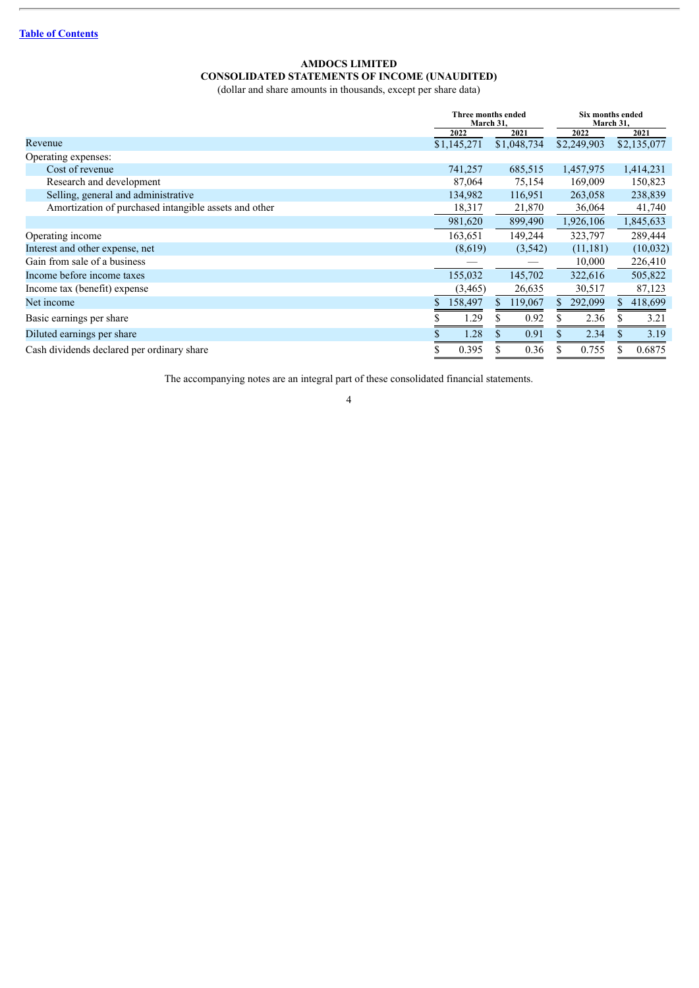### **AMDOCS LIMITED CONSOLIDATED STATEMENTS OF INCOME (UNAUDITED)**

(dollar and share amounts in thousands, except per share data)

<span id="page-3-0"></span>

|                                                       |             | Three months ended<br>March 31, | Six months ended<br>March 31, |             |
|-------------------------------------------------------|-------------|---------------------------------|-------------------------------|-------------|
|                                                       | 2022        | 2021                            | 2022                          | 2021        |
| Revenue                                               | \$1,145,271 | \$1,048,734                     | \$2,249,903                   | \$2,135,077 |
| Operating expenses:                                   |             |                                 |                               |             |
| Cost of revenue                                       | 741,257     | 685,515                         | 1,457,975                     | 1,414,231   |
| Research and development                              | 87,064      | 75,154                          | 169,009                       | 150,823     |
| Selling, general and administrative                   | 134,982     | 116,951                         | 263,058                       | 238,839     |
| Amortization of purchased intangible assets and other | 18,317      | 21,870                          | 36,064                        | 41,740      |
|                                                       | 981,620     | 899,490                         | 1,926,106                     | 1,845,633   |
| Operating income                                      | 163,651     | 149,244                         | 323,797                       | 289,444     |
| Interest and other expense, net                       | (8,619)     | (3, 542)                        | (11, 181)                     | (10,032)    |
| Gain from sale of a business                          |             |                                 | 10,000                        | 226,410     |
| Income before income taxes                            | 155,032     | 145,702                         | 322,616                       | 505,822     |
| Income tax (benefit) expense                          | (3,465)     | 26,635                          | 30,517                        | 87,123      |
| Net income                                            | 158,497     | 119,067<br>S.                   | 292,099<br>S.                 | 418,699     |
| Basic earnings per share                              | 1.29        | 0.92                            | 2.36                          | 3.21        |
| Diluted earnings per share                            | 1.28        | 0.91                            | 2.34                          | 3.19        |
| Cash dividends declared per ordinary share            | 0.395       | 0.36                            | 0.755                         | 0.6875      |

The accompanying notes are an integral part of these consolidated financial statements.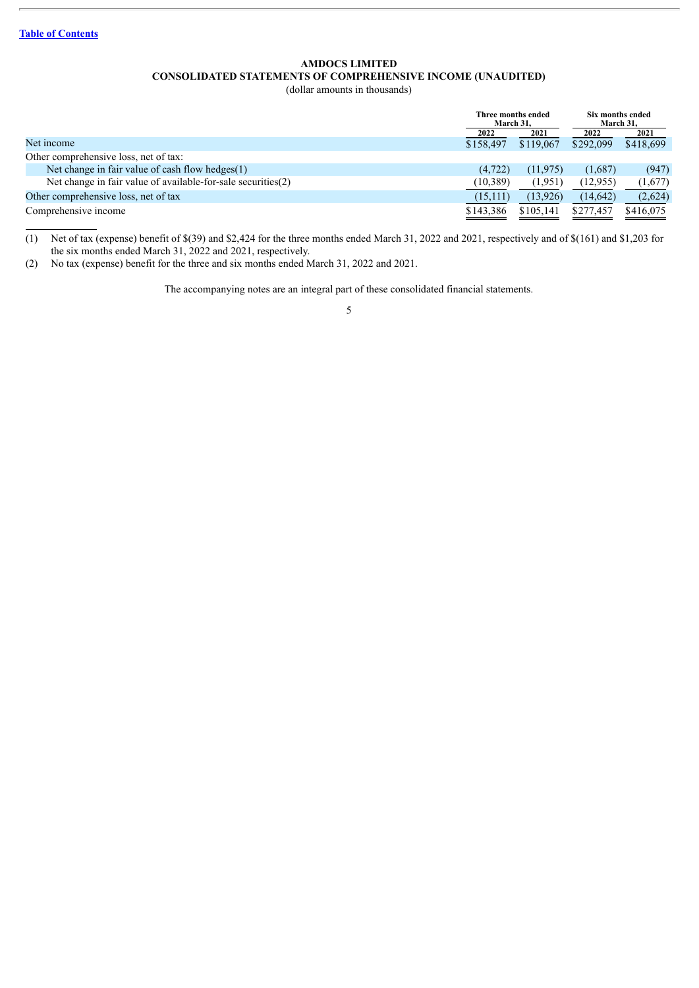### **AMDOCS LIMITED CONSOLIDATED STATEMENTS OF COMPREHENSIVE INCOME (UNAUDITED)**

(dollar amounts in thousands)

<span id="page-4-0"></span>

|                                                              | Three months ended<br>March 31. |           | Six months ended<br>March 31. |           |
|--------------------------------------------------------------|---------------------------------|-----------|-------------------------------|-----------|
|                                                              | 2022                            | 2021      | 2022                          | 2021      |
| Net income                                                   | \$158,497                       | \$119,067 | \$292,099                     | \$418,699 |
| Other comprehensive loss, net of tax:                        |                                 |           |                               |           |
| Net change in fair value of cash flow hedges $(1)$           | (4, 722)                        | (11.975)  | (1,687)                       | (947)     |
| Net change in fair value of available-for-sale securities(2) | (10, 389)                       | (1,951)   | (12, 955)                     | (1,677)   |
| Other comprehensive loss, net of tax                         | (15,111)                        | (13, 926) | (14, 642)                     | (2,624)   |
| Comprehensive income                                         | \$143,386                       | \$105.141 | \$277,457                     | \$416,075 |

(1) Net of tax (expense) benefit of \$(39) and \$2,424 for the three months ended March 31, 2022 and 2021, respectively and of \$(161) and \$1,203 for the six months ended March 31, 2022 and 2021, respectively.

(2) No tax (expense) benefit for the three and six months ended March 31, 2022 and 2021.

The accompanying notes are an integral part of these consolidated financial statements.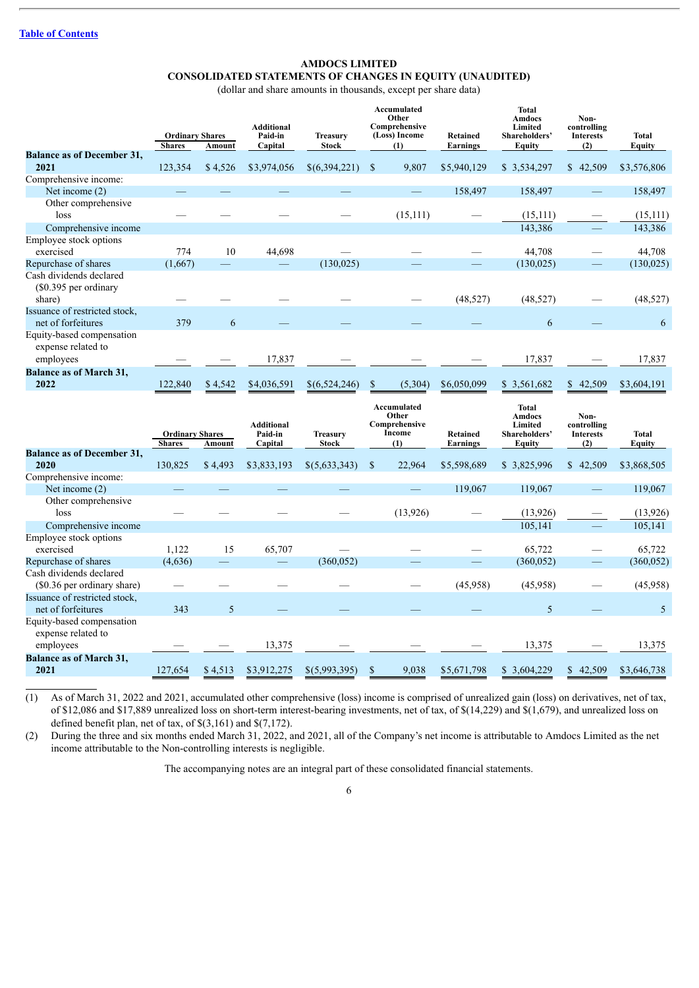### **CONSOLIDATED STATEMENTS OF CHANGES IN EQUITY (UNAUDITED)**

(dollar and share amounts in thousands, except per share data)

<span id="page-5-0"></span>

|                                                              | <b>Ordinary Shares</b> |         | <b>Additional</b><br>Paid-in | <b>Treasury</b> |               | <b>Accumulated</b><br>Other<br>Comprehensive<br>(Loss) Income | Retained        | <b>Total</b><br><b>Amdocs</b><br>Limited<br>Shareholders' | Non-<br>controlling<br><b>Interests</b> | <b>Total</b> |
|--------------------------------------------------------------|------------------------|---------|------------------------------|-----------------|---------------|---------------------------------------------------------------|-----------------|-----------------------------------------------------------|-----------------------------------------|--------------|
|                                                              | <b>Shares</b>          | Amount  | Capital                      | <b>Stock</b>    |               | (1)                                                           | <b>Earnings</b> | <b>Equity</b>                                             | (2)                                     | Equity       |
| <b>Balance as of December 31,</b><br>2021                    | 123,354                | \$4,526 | \$3,974,056                  | \$(6,394,221)   | S             | 9,807                                                         | \$5,940,129     | \$3,534,297                                               | 42,509<br>$\mathbb{S}^-$                | \$3,576,806  |
| Comprehensive income:                                        |                        |         |                              |                 |               |                                                               |                 |                                                           |                                         |              |
| Net income $(2)$                                             |                        |         |                              |                 |               |                                                               | 158,497         | 158,497                                                   |                                         | 158,497      |
| Other comprehensive<br>loss                                  |                        |         |                              |                 |               | (15,111)                                                      |                 | (15, 111)                                                 |                                         | (15, 111)    |
| Comprehensive income                                         |                        |         |                              |                 |               |                                                               |                 | 143,386                                                   |                                         | 143,386      |
| Employee stock options<br>exercised                          | 774                    | 10      | 44,698                       |                 |               |                                                               |                 | 44,708                                                    |                                         | 44,708       |
| Repurchase of shares                                         | (1,667)                |         |                              | (130, 025)      |               |                                                               |                 | (130, 025)                                                |                                         | (130, 025)   |
| Cash dividends declared<br>(\$0.395 per ordinary<br>share)   |                        |         |                              |                 |               |                                                               | (48, 527)       | (48, 527)                                                 |                                         | (48,527)     |
| Issuance of restricted stock,<br>net of forfeitures          | 379                    | 6       |                              |                 |               |                                                               |                 | 6                                                         |                                         | 6            |
| Equity-based compensation<br>expense related to<br>employees |                        |         | 17,837                       |                 |               |                                                               |                 | 17,837                                                    |                                         | 17,837       |
| <b>Balance as of March 31,</b><br>2022                       | 122,840                | \$4,542 | \$4,036,591                  | \$(6,524,246)   | <sup>\$</sup> | (5, 304)                                                      | \$6,050,099     | \$3,561,682                                               | \$42,509                                | \$3,604,191  |
|                                                              |                        |         |                              |                 | Other         | Accumulated                                                   |                 | <b>Total</b><br>Amdoes                                    | Non-                                    |              |

|                                                              | <b>Ordinary Shares</b> |         | <b>Additional</b><br>Paid-in | <b>Treasury</b> |               | Other<br>Comprehensive<br>Income | <b>Retained</b> | Amdocs<br>Limited<br>Shareholders' | Non-<br>controlling<br><b>Interests</b> | Total       |
|--------------------------------------------------------------|------------------------|---------|------------------------------|-----------------|---------------|----------------------------------|-----------------|------------------------------------|-----------------------------------------|-------------|
| <b>Balance as of December 31,</b>                            | <b>Shares</b>          | Amount  | Capital                      | <b>Stock</b>    |               | (1)                              | Earnings        | Equity                             | (2)                                     | Equity      |
| 2020                                                         | 130,825                | \$4,493 | \$3,833,193                  | \$(5,633,343)   | <sup>\$</sup> | 22,964                           | \$5,598,689     | \$3,825,996                        | 42,509<br>$\mathbb{S}^-$                | \$3,868,505 |
| Comprehensive income:                                        |                        |         |                              |                 |               |                                  |                 |                                    |                                         |             |
| Net income $(2)$                                             |                        |         |                              |                 |               |                                  | 119,067         | 119,067                            |                                         | 119,067     |
| Other comprehensive<br>loss                                  |                        |         |                              |                 |               | (13, 926)                        |                 | (13, 926)                          |                                         | (13,926)    |
| Comprehensive income                                         |                        |         |                              |                 |               |                                  |                 | 105,141                            |                                         | 105,141     |
| Employee stock options<br>exercised                          | 1,122                  | 15      | 65,707                       |                 |               |                                  |                 | 65,722                             |                                         | 65,722      |
| Repurchase of shares                                         | (4,636)                |         |                              | (360, 052)      |               |                                  |                 | (360, 052)                         |                                         | (360, 052)  |
| Cash dividends declared<br>(\$0.36 per ordinary share)       |                        |         |                              |                 |               |                                  | (45,958)        | (45,958)                           |                                         | (45,958)    |
| Issuance of restricted stock,<br>net of forfeitures          | 343                    | 5       |                              |                 |               |                                  |                 | 5                                  |                                         | 5           |
| Equity-based compensation<br>expense related to<br>employees |                        |         | 13,375                       |                 |               |                                  |                 | 13,375                             |                                         | 13,375      |
| <b>Balance as of March 31,</b><br>2021                       | 127,654                | \$4,513 | \$3,912,275                  | \$(5,993,395)   | \$            | 9,038                            | \$5,671,798     | \$3,604,229                        | 42,509<br>S.                            | \$3,646,738 |

(1) As of March 31, 2022 and 2021, accumulated other comprehensive (loss) income is comprised of unrealized gain (loss) on derivatives, net of tax, of \$12,086 and \$17,889 unrealized loss on short-term interest-bearing investments, net of tax, of \$(14,229) and \$(1,679), and unrealized loss on defined benefit plan, net of tax, of \$(3,161) and \$(7,172).

(2) During the three and six months ended March 31, 2022, and 2021, all of the Company's net income is attributable to Amdocs Limited as the net income attributable to the Non-controlling interests is negligible.

The accompanying notes are an integral part of these consolidated financial statements.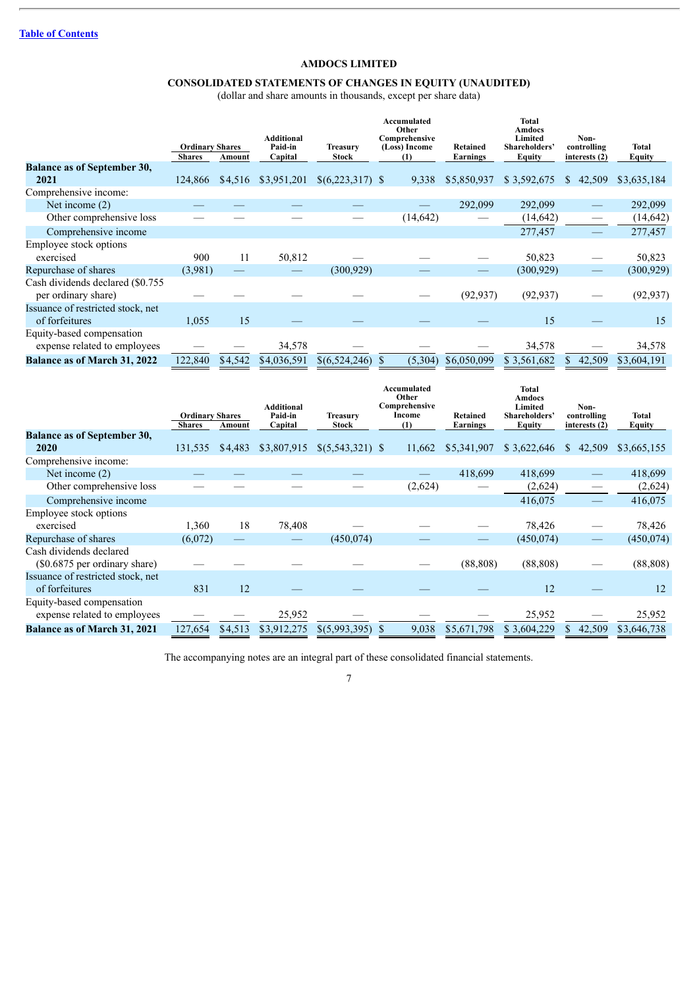### **CONSOLIDATED STATEMENTS OF CHANGES IN EQUITY (UNAUDITED)**

(dollar and share amounts in thousands, except per share data)

|                                     |                                         |         | <b>Additional</b>  |                                 | Accumulated<br>Other<br>Comprehensive |                      | <b>Total</b><br>Amdocs<br>Limited | Non-                         |                 |
|-------------------------------------|-----------------------------------------|---------|--------------------|---------------------------------|---------------------------------------|----------------------|-----------------------------------|------------------------------|-----------------|
|                                     | <b>Ordinary Shares</b><br><b>Shares</b> | Amount  | Paid-in<br>Capital | <b>Treasury</b><br><b>Stock</b> | (Loss) Income<br>(1)                  | Retained<br>Earnings | Shareholders'<br><b>Equity</b>    | controlling<br>interests (2) | Total<br>Equity |
| <b>Balance as of September 30,</b>  |                                         |         |                    |                                 |                                       |                      |                                   |                              |                 |
| 2021                                | 124,866                                 | \$4,516 | \$3,951,201        | $$(6,223,317)$ \;               | 9.338                                 | \$5,850,937          | \$3,592,675                       | 42,509<br>S.                 | \$3,635,184     |
| Comprehensive income:               |                                         |         |                    |                                 |                                       |                      |                                   |                              |                 |
| Net income $(2)$                    |                                         |         |                    |                                 |                                       | 292,099              | 292,099                           |                              | 292,099         |
| Other comprehensive loss            |                                         |         |                    |                                 | (14, 642)                             |                      | (14, 642)                         |                              | (14, 642)       |
| Comprehensive income                |                                         |         |                    |                                 |                                       |                      | 277,457                           |                              | 277,457         |
| Employee stock options              |                                         |         |                    |                                 |                                       |                      |                                   |                              |                 |
| exercised                           | 900                                     | 11      | 50,812             |                                 |                                       |                      | 50,823                            |                              | 50,823          |
| Repurchase of shares                | (3,981)                                 |         |                    | (300, 929)                      |                                       |                      | (300, 929)                        |                              | (300, 929)      |
| Cash dividends declared (\$0.755)   |                                         |         |                    |                                 |                                       |                      |                                   |                              |                 |
| per ordinary share)                 |                                         |         |                    |                                 |                                       | (92, 937)            | (92, 937)                         |                              | (92, 937)       |
| Issuance of restricted stock, net   |                                         |         |                    |                                 |                                       |                      |                                   |                              |                 |
| of forfeitures                      | 1,055                                   | 15      |                    |                                 |                                       |                      | 15                                |                              | 15              |
| Equity-based compensation           |                                         |         |                    |                                 |                                       |                      |                                   |                              |                 |
| expense related to employees        |                                         |         | 34,578             |                                 |                                       |                      | 34,578                            |                              | 34,578          |
| <b>Balance as of March 31, 2022</b> | 122,840                                 | \$4,542 | \$4,036,591        | \$(6,524,246)                   | (5,304)                               | \$6,050,099          | \$3,561,682                       | 42,509<br>\$.                | \$3,604,191     |

|                                                           | <b>Ordinary Shares</b> |         | <b>Additional</b><br>Paid-in | <b>Treasury</b>    | Accumulated<br>Other<br>Comprehensive<br>Income | Retained    | <b>Total</b><br><b>Amdocs</b><br>Limited<br><b>Shareholders</b> | Non-<br>controlling    | Total         |
|-----------------------------------------------------------|------------------------|---------|------------------------------|--------------------|-------------------------------------------------|-------------|-----------------------------------------------------------------|------------------------|---------------|
|                                                           | <b>Shares</b>          | Amount  | Capital                      | <b>Stock</b>       | (1)                                             | Earnings    | <b>Equity</b>                                                   | interests (2)          | <b>Equity</b> |
| <b>Balance as of September 30,</b>                        |                        |         |                              |                    |                                                 |             |                                                                 |                        |               |
| <b>2020</b>                                               | 131,535                | \$4,483 | \$3,807,915                  | $$(5,543,321)$ \\$ | 11,662                                          | \$5,341,907 | \$3,622,646                                                     | <sup>S</sup><br>42,509 | \$3,665,155   |
| Comprehensive income:                                     |                        |         |                              |                    |                                                 |             |                                                                 |                        |               |
| Net income $(2)$                                          |                        |         |                              |                    |                                                 | 418,699     | 418,699                                                         |                        | 418,699       |
| Other comprehensive loss                                  |                        |         |                              |                    | (2,624)                                         |             | (2,624)                                                         |                        | (2,624)       |
| Comprehensive income                                      |                        |         |                              |                    |                                                 |             | 416,075                                                         |                        | 416,075       |
| Employee stock options                                    |                        |         |                              |                    |                                                 |             |                                                                 |                        |               |
| exercised                                                 | 1,360                  | 18      | 78,408                       |                    |                                                 |             | 78,426                                                          |                        | 78,426        |
| Repurchase of shares                                      | (6,072)                |         |                              | (450, 074)         |                                                 |             | (450, 074)                                                      |                        | (450, 074)    |
| Cash dividends declared<br>(\$0.6875 per ordinary share)  |                        |         |                              |                    |                                                 | (88, 808)   | (88, 808)                                                       |                        | (88, 808)     |
| Issuance of restricted stock, net<br>of forfeitures       | 831                    | 12      |                              |                    |                                                 |             | 12                                                              |                        | 12            |
| Equity-based compensation<br>expense related to employees |                        |         | 25,952                       |                    |                                                 |             | 25,952                                                          |                        | 25,952        |
| <b>Balance as of March 31, 2021</b>                       | 127,654                | \$4,513 | \$3,912,275                  | \$(5,993,395)      | 9,038                                           | \$5,671,798 | \$3,604,229                                                     | 42,509                 | \$3,646,738   |

The accompanying notes are an integral part of these consolidated financial statements.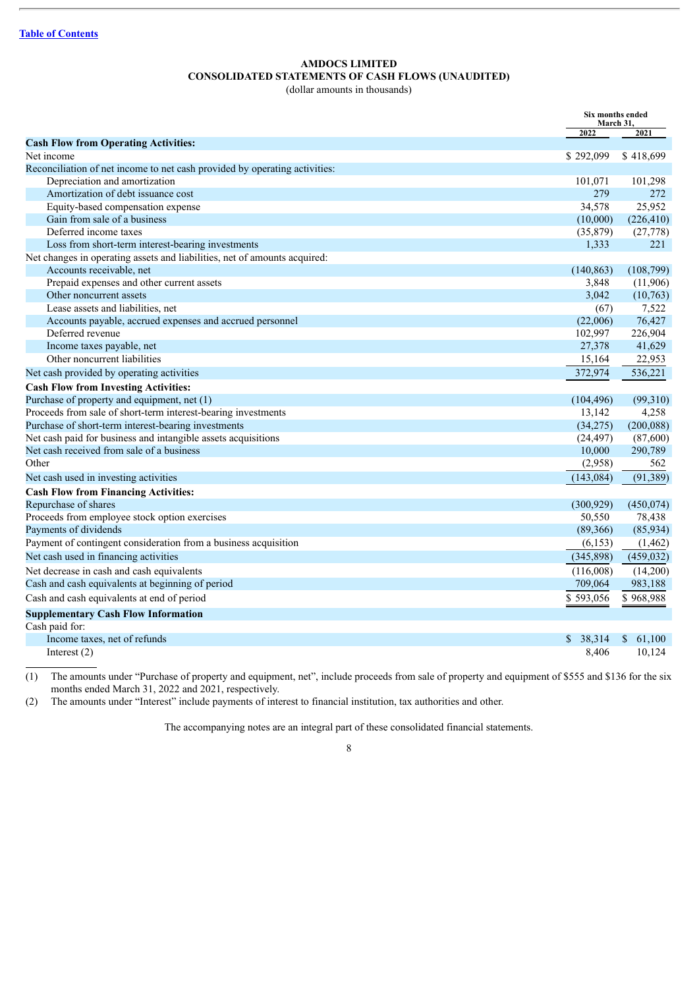### **AMDOCS LIMITED CONSOLIDATED STATEMENTS OF CASH FLOWS (UNAUDITED)**

(dollar amounts in thousands)

<span id="page-7-0"></span>

|                                                                            | Six months ended<br>March 31, |              |
|----------------------------------------------------------------------------|-------------------------------|--------------|
|                                                                            | 2022                          | 2021         |
| <b>Cash Flow from Operating Activities:</b>                                |                               |              |
| Net income                                                                 | \$292,099                     | \$418,699    |
| Reconciliation of net income to net cash provided by operating activities: |                               |              |
| Depreciation and amortization                                              | 101,071                       | 101,298      |
| Amortization of debt issuance cost                                         | 279                           | 272          |
| Equity-based compensation expense                                          | 34,578                        | 25,952       |
| Gain from sale of a business                                               | (10,000)                      | (226, 410)   |
| Deferred income taxes                                                      | (35,879)                      | (27, 778)    |
| Loss from short-term interest-bearing investments                          | 1,333                         | 221          |
| Net changes in operating assets and liabilities, net of amounts acquired:  |                               |              |
| Accounts receivable, net                                                   | (140, 863)                    | (108, 799)   |
| Prepaid expenses and other current assets                                  | 3,848                         | (11,906)     |
| Other noncurrent assets                                                    | 3,042                         | (10,763)     |
| Lease assets and liabilities, net                                          | (67)                          | 7,522        |
| Accounts payable, accrued expenses and accrued personnel                   | (22,006)                      | 76,427       |
| Deferred revenue                                                           | 102,997                       | 226,904      |
| Income taxes payable, net                                                  | 27,378                        | 41,629       |
| Other noncurrent liabilities                                               | 15,164                        | 22,953       |
| Net cash provided by operating activities                                  | 372,974                       | 536,221      |
| <b>Cash Flow from Investing Activities:</b>                                |                               |              |
| Purchase of property and equipment, net (1)                                | (104, 496)                    | (99,310)     |
| Proceeds from sale of short-term interest-bearing investments              | 13,142                        | 4,258        |
| Purchase of short-term interest-bearing investments                        | (34,275)                      | (200, 088)   |
| Net cash paid for business and intangible assets acquisitions              | (24, 497)                     | (87,600)     |
| Net cash received from sale of a business                                  | 10,000                        | 290,789      |
| Other                                                                      | (2,958)                       | 562          |
| Net cash used in investing activities                                      | (143, 084)                    | (91, 389)    |
| <b>Cash Flow from Financing Activities:</b>                                |                               |              |
| Repurchase of shares                                                       | (300, 929)                    | (450, 074)   |
| Proceeds from employee stock option exercises                              | 50,550                        | 78,438       |
| Payments of dividends                                                      | (89,366)                      | (85,934)     |
| Payment of contingent consideration from a business acquisition            | (6, 153)                      | (1, 462)     |
| Net cash used in financing activities                                      | (345,898)                     | (459, 032)   |
| Net decrease in cash and cash equivalents                                  | (116,008)                     | (14,200)     |
| Cash and cash equivalents at beginning of period                           | 709,064                       | 983,188      |
| Cash and cash equivalents at end of period                                 | \$593,056                     | \$968,988    |
| <b>Supplementary Cash Flow Information</b>                                 |                               |              |
| Cash paid for:                                                             |                               |              |
| Income taxes, net of refunds                                               | \$38,314                      | \$<br>61,100 |
| Interest $(2)$                                                             | 8,406                         | 10,124       |

(1) The amounts under "Purchase of property and equipment, net", include proceeds from sale of property and equipment of \$555 and \$136 for the six months ended March 31, 2022 and 2021, respectively.

(2) The amounts under "Interest" include payments of interest to financial institution, tax authorities and other.

The accompanying notes are an integral part of these consolidated financial statements.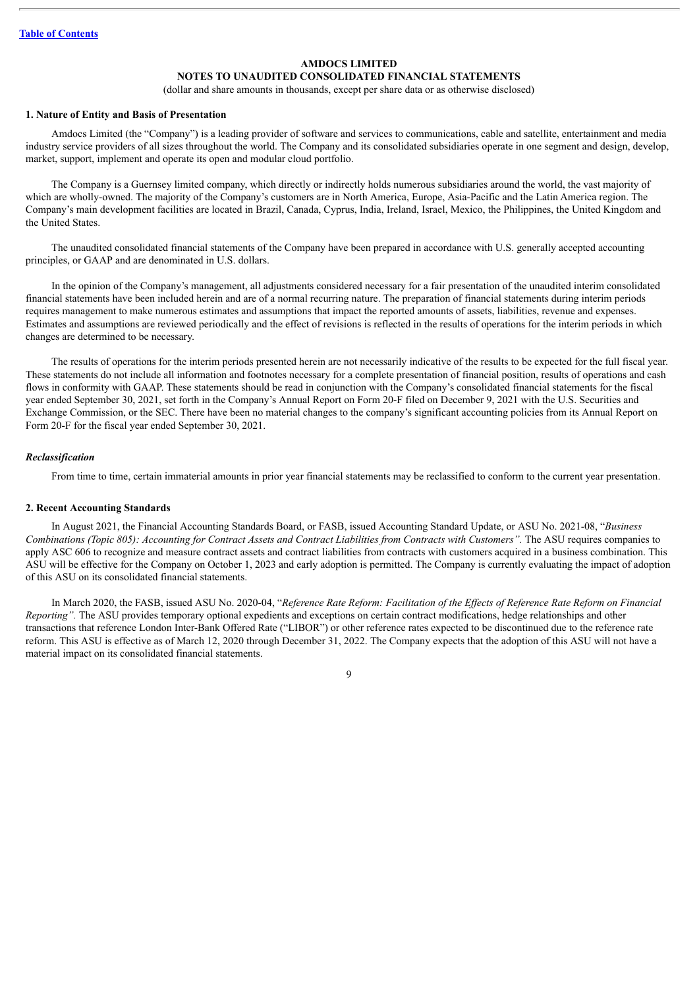### **NOTES TO UNAUDITED CONSOLIDATED FINANCIAL STATEMENTS**

(dollar and share amounts in thousands, except per share data or as otherwise disclosed)

#### <span id="page-8-0"></span>**1. Nature of Entity and Basis of Presentation**

Amdocs Limited (the "Company") is a leading provider of software and services to communications, cable and satellite, entertainment and media industry service providers of all sizes throughout the world. The Company and its consolidated subsidiaries operate in one segment and design, develop, market, support, implement and operate its open and modular cloud portfolio.

The Company is a Guernsey limited company, which directly or indirectly holds numerous subsidiaries around the world, the vast majority of which are wholly-owned. The majority of the Company's customers are in North America, Europe, Asia-Pacific and the Latin America region. The Company's main development facilities are located in Brazil, Canada, Cyprus, India, Ireland, Israel, Mexico, the Philippines, the United Kingdom and the United States.

The unaudited consolidated financial statements of the Company have been prepared in accordance with U.S. generally accepted accounting principles, or GAAP and are denominated in U.S. dollars.

In the opinion of the Company's management, all adjustments considered necessary for a fair presentation of the unaudited interim consolidated financial statements have been included herein and are of a normal recurring nature. The preparation of financial statements during interim periods requires management to make numerous estimates and assumptions that impact the reported amounts of assets, liabilities, revenue and expenses. Estimates and assumptions are reviewed periodically and the effect of revisions is reflected in the results of operations for the interim periods in which changes are determined to be necessary.

The results of operations for the interim periods presented herein are not necessarily indicative of the results to be expected for the full fiscal year. These statements do not include all information and footnotes necessary for a complete presentation of financial position, results of operations and cash flows in conformity with GAAP. These statements should be read in conjunction with the Company's consolidated financial statements for the fiscal year ended September 30, 2021, set forth in the Company's Annual Report on Form 20-F filed on December 9, 2021 with the U.S. Securities and Exchange Commission, or the SEC. There have been no material changes to the company's significant accounting policies from its Annual Report on Form 20-F for the fiscal year ended September 30, 2021.

#### *Reclassification*

From time to time, certain immaterial amounts in prior year financial statements may be reclassified to conform to the current year presentation.

#### **2. Recent Accounting Standards**

In August 2021, the Financial Accounting Standards Board, or FASB, issued Accounting Standard Update, or ASU No. 2021-08, "*Business* Combinations (Topic 805): Accounting for Contract Assets and Contract Liabilities from Contracts with Customers". The ASU requires companies to apply ASC 606 to recognize and measure contract assets and contract liabilities from contracts with customers acquired in a business combination. This ASU will be effective for the Company on October 1, 2023 and early adoption is permitted. The Company is currently evaluating the impact of adoption of this ASU on its consolidated financial statements.

In March 2020, the FASB, issued ASU No. 2020-04, "Reference Rate Reform: Facilitation of the Effects of Reference Rate Reform on Financial *Reporting".* The ASU provides temporary optional expedients and exceptions on certain contract modifications, hedge relationships and other transactions that reference London Inter-Bank Offered Rate ("LIBOR") or other reference rates expected to be discontinued due to the reference rate reform. This ASU is effective as of March 12, 2020 through December 31, 2022. The Company expects that the adoption of this ASU will not have a material impact on its consolidated financial statements.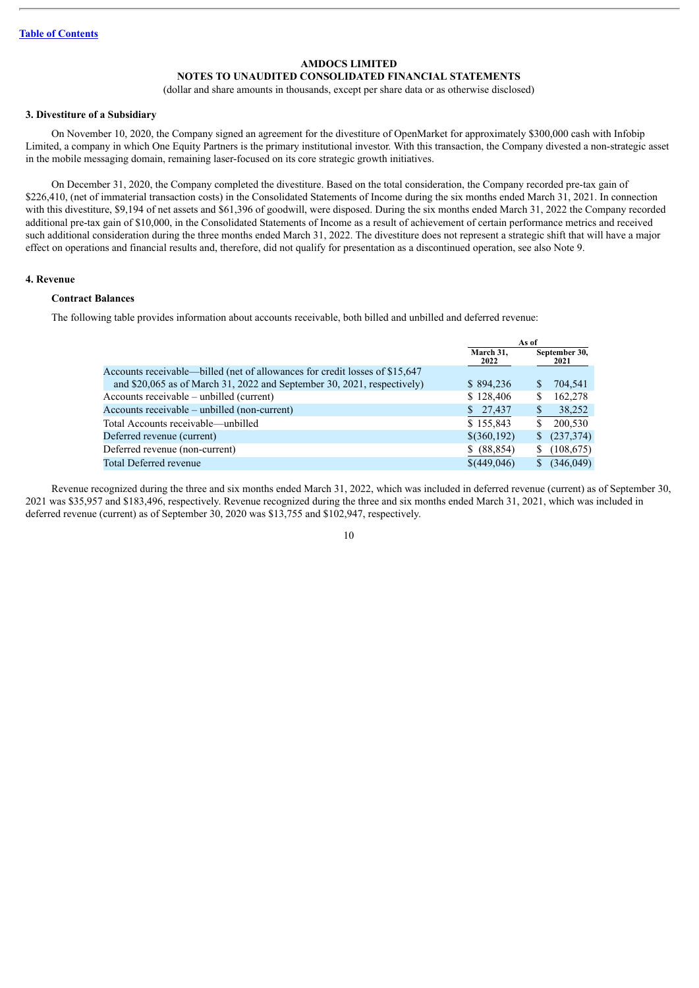### **NOTES TO UNAUDITED CONSOLIDATED FINANCIAL STATEMENTS**

(dollar and share amounts in thousands, except per share data or as otherwise disclosed)

#### **3. Divestiture of a Subsidiary**

On November 10, 2020, the Company signed an agreement for the divestiture of OpenMarket for approximately \$300,000 cash with Infobip Limited, a company in which One Equity Partners is the primary institutional investor. With this transaction, the Company divested a non-strategic asset in the mobile messaging domain, remaining laser-focused on its core strategic growth initiatives.

On December 31, 2020, the Company completed the divestiture. Based on the total consideration, the Company recorded pre-tax gain of \$226,410, (net of immaterial transaction costs) in the Consolidated Statements of Income during the six months ended March 31, 2021. In connection with this divestiture, \$9,194 of net assets and \$61,396 of goodwill, were disposed. During the six months ended March 31, 2022 the Company recorded additional pre-tax gain of \$10,000, in the Consolidated Statements of Income as a result of achievement of certain performance metrics and received such additional consideration during the three months ended March 31, 2022. The divestiture does not represent a strategic shift that will have a major effect on operations and financial results and, therefore, did not qualify for presentation as a discontinued operation, see also Note 9.

### **4. Revenue**

### **Contract Balances**

The following table provides information about accounts receivable, both billed and unbilled and deferred revenue:

|                                                                              |                   | As of                 |
|------------------------------------------------------------------------------|-------------------|-----------------------|
|                                                                              | March 31,<br>2022 | September 30,<br>2021 |
| Accounts receivable—billed (net of allowances for credit losses of \$15,647) |                   |                       |
| and \$20,065 as of March 31, 2022 and September 30, 2021, respectively)      | \$894,236         | 704,541<br>S          |
| Accounts receivable – unbilled (current)                                     | \$128,406         | 162,278<br>S          |
| Accounts receivable – unbilled (non-current)                                 | \$27,437          | 38,252                |
| Total Accounts receivable—unbilled                                           | \$155,843         | 200.530               |
| Deferred revenue (current)                                                   | $$$ (360,192)     | (237, 374)<br>\$      |
| Deferred revenue (non-current)                                               | \$ (88, 854)      | (108, 675)            |
| Total Deferred revenue                                                       | \$(449,046)       | (346,049)             |
|                                                                              |                   |                       |

Revenue recognized during the three and six months ended March 31, 2022, which was included in deferred revenue (current) as of September 30, 2021 was \$35,957 and \$183,496, respectively. Revenue recognized during the three and six months ended March 31, 2021, which was included in deferred revenue (current) as of September 30, 2020 was \$13,755 and \$102,947, respectively.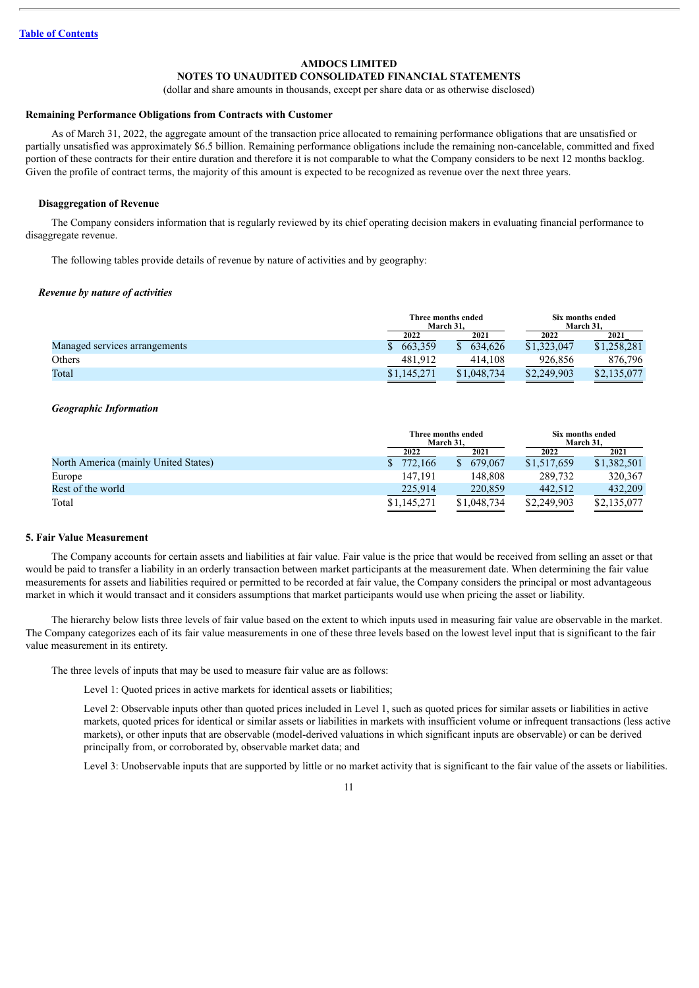### **NOTES TO UNAUDITED CONSOLIDATED FINANCIAL STATEMENTS**

(dollar and share amounts in thousands, except per share data or as otherwise disclosed)

#### **Remaining Performance Obligations from Contracts with Customer**

As of March 31, 2022, the aggregate amount of the transaction price allocated to remaining performance obligations that are unsatisfied or partially unsatisfied was approximately \$6.5 billion. Remaining performance obligations include the remaining non-cancelable, committed and fixed portion of these contracts for their entire duration and therefore it is not comparable to what the Company considers to be next 12 months backlog. Given the profile of contract terms, the majority of this amount is expected to be recognized as revenue over the next three years.

#### **Disaggregation of Revenue**

The Company considers information that is regularly reviewed by its chief operating decision makers in evaluating financial performance to disaggregate revenue.

The following tables provide details of revenue by nature of activities and by geography:

#### *Revenue by nature of activities*

|                               |             | Three months ended<br>March 31. |             |             |  | Six months ended<br>March 31. |
|-------------------------------|-------------|---------------------------------|-------------|-------------|--|-------------------------------|
|                               | 2022        | 2021                            | 2022        | 2021        |  |                               |
| Managed services arrangements | 663,359     | 634.626                         | \$1,323,047 | \$1.258.281 |  |                               |
| Others                        | 481,912     | 414.108                         | 926.856     | 876,796     |  |                               |
| Total                         | \$1,145,271 | \$1,048,734                     | \$2,249,903 | \$2,135,077 |  |                               |

#### *Geographic Information*

|                                      |             | Three months ended<br>March 31. | Six months ended<br>March 31. |             |  |
|--------------------------------------|-------------|---------------------------------|-------------------------------|-------------|--|
|                                      | 2022        | 2021                            | 2022                          | 2021        |  |
| North America (mainly United States) | 772.166     | 679,067                         | \$1.517.659                   | \$1,382,501 |  |
| Europe                               | 147.191     | 148.808                         | 289.732                       | 320.367     |  |
| Rest of the world                    | 225.914     | 220,859                         | 442.512                       | 432.209     |  |
| Total                                | \$1,145,271 | \$1,048,734                     | \$2,249,903                   | \$2,135,077 |  |

#### **5. Fair Value Measurement**

The Company accounts for certain assets and liabilities at fair value. Fair value is the price that would be received from selling an asset or that would be paid to transfer a liability in an orderly transaction between market participants at the measurement date. When determining the fair value measurements for assets and liabilities required or permitted to be recorded at fair value, the Company considers the principal or most advantageous market in which it would transact and it considers assumptions that market participants would use when pricing the asset or liability.

The hierarchy below lists three levels of fair value based on the extent to which inputs used in measuring fair value are observable in the market. The Company categorizes each of its fair value measurements in one of these three levels based on the lowest level input that is significant to the fair value measurement in its entirety.

The three levels of inputs that may be used to measure fair value are as follows:

Level 1: Quoted prices in active markets for identical assets or liabilities;

Level 2: Observable inputs other than quoted prices included in Level 1, such as quoted prices for similar assets or liabilities in active markets, quoted prices for identical or similar assets or liabilities in markets with insufficient volume or infrequent transactions (less active markets), or other inputs that are observable (model-derived valuations in which significant inputs are observable) or can be derived principally from, or corroborated by, observable market data; and

Level 3: Unobservable inputs that are supported by little or no market activity that is significant to the fair value of the assets or liabilities.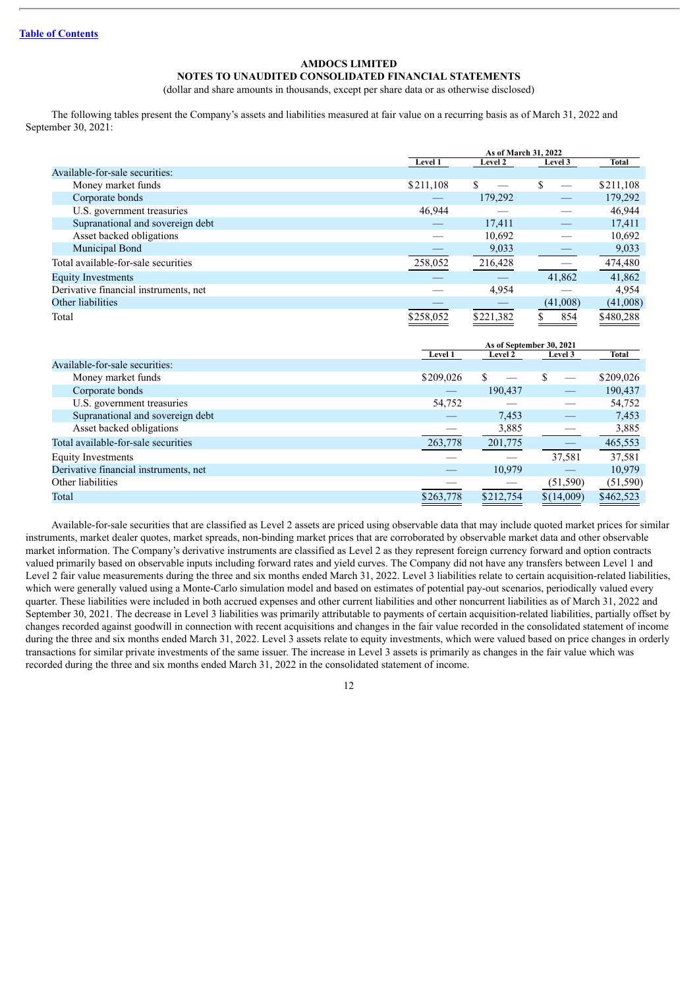### **NOTES TO UNAUDITED CONSOLIDATED FINANCIAL STATEMENTS**

(dollar and share amounts in thousands, except per share data or as otherwise disclosed)

The following tables present the Company's assets and liabilities measured at fair value on a recurring basis as of March 31, 2022 and September 30, 2021:

|                                       | As of March 31, 2022 |                |          |           |  |
|---------------------------------------|----------------------|----------------|----------|-----------|--|
|                                       | Level 1              | <b>Level 2</b> | Level 3  | Total     |  |
| Available-for-sale securities:        |                      |                |          |           |  |
| Money market funds                    | \$211,108            | \$             | \$       | \$211,108 |  |
| Corporate bonds                       |                      | 179,292        |          | 179,292   |  |
| U.S. government treasuries            | 46,944               |                |          | 46,944    |  |
| Supranational and sovereign debt      |                      | 17.411         |          | 17,411    |  |
| Asset backed obligations              |                      | 10,692         |          | 10,692    |  |
| Municipal Bond                        |                      | 9,033          |          | 9,033     |  |
| Total available-for-sale securities   | 258,052              | 216,428        |          | 474,480   |  |
| <b>Equity Investments</b>             |                      |                | 41,862   | 41,862    |  |
| Derivative financial instruments, net |                      | 4,954          |          | 4,954     |  |
| Other liabilities                     |                      |                | (41,008) | (41,008)  |  |
| Total                                 | \$258.052            | \$221,382      | 854      | \$480.288 |  |

|                                       | As of September 30, 2021 |           |            |           |
|---------------------------------------|--------------------------|-----------|------------|-----------|
|                                       | <b>Level 1</b>           | Level 2   | Level 3    | Total     |
| Available-for-sale securities:        |                          |           |            |           |
| Money market funds                    | \$209,026                | \$        |            | \$209,026 |
| Corporate bonds                       |                          | 190,437   |            | 190,437   |
| U.S. government treasuries            | 54,752                   |           |            | 54,752    |
| Supranational and sovereign debt      |                          | 7,453     |            | 7,453     |
| Asset backed obligations              |                          | 3,885     |            | 3,885     |
| Total available-for-sale securities   | 263,778                  | 201,775   |            | 465,553   |
| <b>Equity Investments</b>             |                          |           | 37,581     | 37,581    |
| Derivative financial instruments, net |                          | 10,979    |            | 10,979    |
| Other liabilities                     |                          |           | (51, 590)  | (51, 590) |
| Total                                 | \$263,778                | \$212,754 | \$(14,009) | \$462,523 |

Available-for-sale securities that are classified as Level 2 assets are priced using observable data that may include quoted market prices for similar instruments, market dealer quotes, market spreads, non-binding market prices that are corroborated by observable market data and other observable market information. The Company's derivative instruments are classified as Level 2 as they represent foreign currency forward and option contracts valued primarily based on observable inputs including forward rates and yield curves. The Company did not have any transfers between Level 1 and Level 2 fair value measurements during the three and six months ended March 31, 2022. Level 3 liabilities relate to certain acquisition-related liabilities, which were generally valued using a Monte-Carlo simulation model and based on estimates of potential pay-out scenarios, periodically valued every quarter. These liabilities were included in both accrued expenses and other current liabilities and other noncurrent liabilities as of March 31, 2022 and September 30, 2021. The decrease in Level 3 liabilities was primarily attributable to payments of certain acquisition-related liabilities, partially offset by changes recorded against goodwill in connection with recent acquisitions and changes in the fair value recorded in the consolidated statement of income during the three and six months ended March 31, 2022. Level 3 assets relate to equity investments, which were valued based on price changes in orderly transactions for similar private investments of the same issuer. The increase in Level 3 assets is primarily as changes in the fair value which was recorded during the three and six months ended March 31, 2022 in the consolidated statement of income.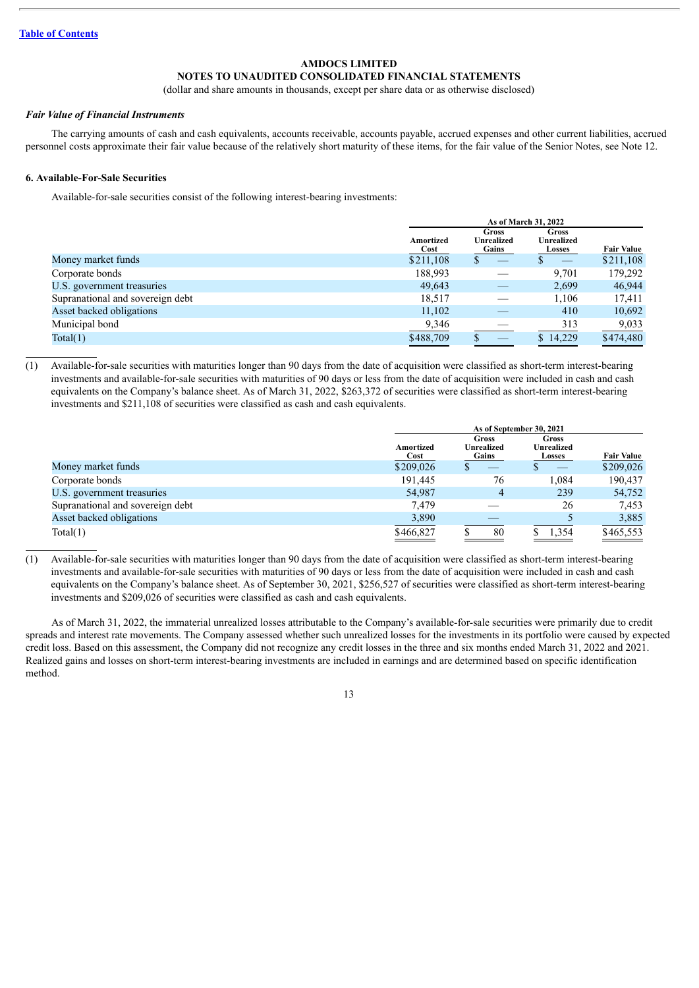### **NOTES TO UNAUDITED CONSOLIDATED FINANCIAL STATEMENTS**

(dollar and share amounts in thousands, except per share data or as otherwise disclosed)

#### *Fair Value of Financial Instruments*

The carrying amounts of cash and cash equivalents, accounts receivable, accounts payable, accrued expenses and other current liabilities, accrued personnel costs approximate their fair value because of the relatively short maturity of these items, for the fair value of the Senior Notes, see Note 12.

#### **6. Available-For-Sale Securities**

Available-for-sale securities consist of the following interest-bearing investments:

|                                  |                   | As of March 31, 2022         |                                             |                   |  |  |
|----------------------------------|-------------------|------------------------------|---------------------------------------------|-------------------|--|--|
|                                  | Amortized<br>Cost | Gross<br>Unrealized<br>Gains | <b>Gross</b><br>Unrealized<br><b>Losses</b> | <b>Fair Value</b> |  |  |
| Money market funds               | \$211,108         |                              |                                             | \$211,108         |  |  |
| Corporate bonds                  | 188,993           |                              | 9,701                                       | 179,292           |  |  |
| U.S. government treasuries       | 49,643            |                              | 2,699                                       | 46,944            |  |  |
| Supranational and sovereign debt | 18,517            |                              | 1.106                                       | 17,411            |  |  |
| Asset backed obligations         | 11,102            |                              | 410                                         | 10,692            |  |  |
| Municipal bond                   | 9,346             |                              | 313                                         | 9,033             |  |  |
| Total(1)                         | \$488,709         |                              | \$14,229                                    | \$474,480         |  |  |

(1) Available-for-sale securities with maturities longer than 90 days from the date of acquisition were classified as short-term interest-bearing investments and available-for-sale securities with maturities of 90 days or less from the date of acquisition were included in cash and cash equivalents on the Company's balance sheet. As of March 31, 2022, \$263,372 of securities were classified as short-term interest-bearing investments and \$211,108 of securities were classified as cash and cash equivalents.

|                                  | As of September 30, 2021 |                                     |                                                    |                   |  |
|----------------------------------|--------------------------|-------------------------------------|----------------------------------------------------|-------------------|--|
|                                  | Amortized<br>Cost        | <b>Gross</b><br>Unrealized<br>Gains | <b>Gross</b><br><b>Unrealized</b><br><b>Losses</b> | <b>Fair Value</b> |  |
| Money market funds               | \$209,026                | ۰D                                  |                                                    | \$209,026         |  |
| Corporate bonds                  | 191,445                  | 76                                  | 1.084                                              | 190,437           |  |
| U.S. government treasuries       | 54,987                   | 4                                   | 239                                                | 54,752            |  |
| Supranational and sovereign debt | 7.479                    |                                     | 26                                                 | 7,453             |  |
| Asset backed obligations         | 3,890                    |                                     |                                                    | 3,885             |  |
| Total(1)                         | \$466,827                | 80                                  | 1,354                                              | \$465,553         |  |

(1) Available-for-sale securities with maturities longer than 90 days from the date of acquisition were classified as short-term interest-bearing investments and available-for-sale securities with maturities of 90 days or less from the date of acquisition were included in cash and cash equivalents on the Company's balance sheet. As of September 30, 2021, \$256,527 of securities were classified as short-term interest-bearing investments and \$209,026 of securities were classified as cash and cash equivalents.

As of March 31, 2022, the immaterial unrealized losses attributable to the Company's available-for-sale securities were primarily due to credit spreads and interest rate movements. The Company assessed whether such unrealized losses for the investments in its portfolio were caused by expected credit loss. Based on this assessment, the Company did not recognize any credit losses in the three and six months ended March 31, 2022 and 2021. Realized gains and losses on short-term interest-bearing investments are included in earnings and are determined based on specific identification method.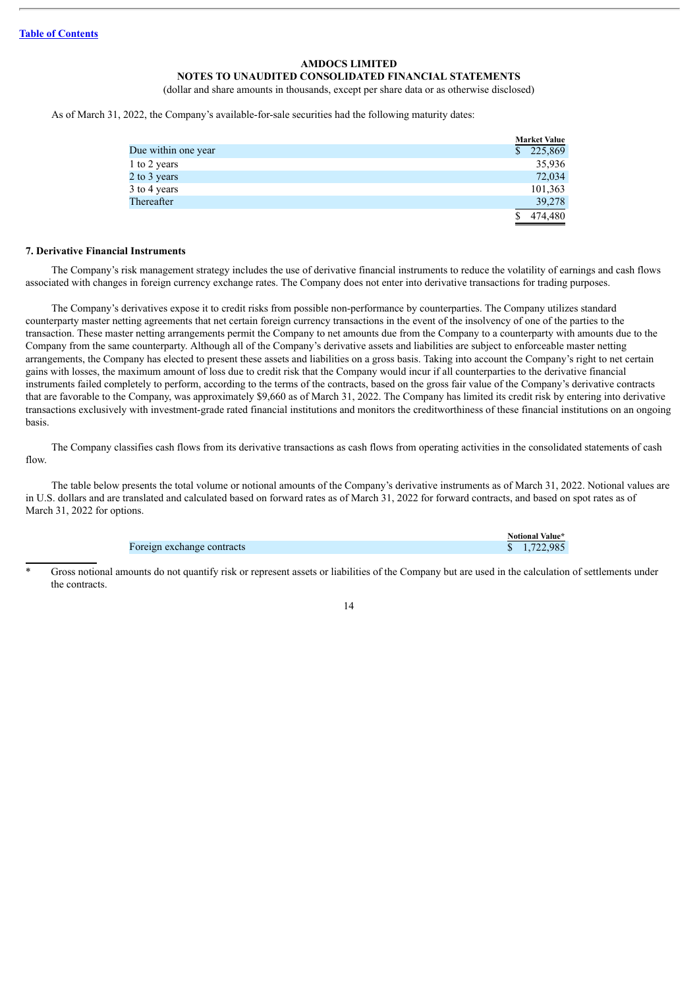### **NOTES TO UNAUDITED CONSOLIDATED FINANCIAL STATEMENTS**

(dollar and share amounts in thousands, except per share data or as otherwise disclosed)

As of March 31, 2022, the Company's available-for-sale securities had the following maturity dates:

|                     | <b>Market Value</b> |
|---------------------|---------------------|
| Due within one year | 225,869<br>\$       |
| 1 to 2 years        | 35,936              |
| 2 to 3 years        | 72,034              |
| 3 to 4 years        | 101,363             |
| Thereafter          | 39,278              |
|                     | 474,480             |

### **7. Derivative Financial Instruments**

The Company's risk management strategy includes the use of derivative financial instruments to reduce the volatility of earnings and cash flows associated with changes in foreign currency exchange rates. The Company does not enter into derivative transactions for trading purposes.

The Company's derivatives expose it to credit risks from possible non-performance by counterparties. The Company utilizes standard counterparty master netting agreements that net certain foreign currency transactions in the event of the insolvency of one of the parties to the transaction. These master netting arrangements permit the Company to net amounts due from the Company to a counterparty with amounts due to the Company from the same counterparty. Although all of the Company's derivative assets and liabilities are subject to enforceable master netting arrangements, the Company has elected to present these assets and liabilities on a gross basis. Taking into account the Company's right to net certain gains with losses, the maximum amount of loss due to credit risk that the Company would incur if all counterparties to the derivative financial instruments failed completely to perform, according to the terms of the contracts, based on the gross fair value of the Company's derivative contracts that are favorable to the Company, was approximately \$9,660 as of March 31, 2022. The Company has limited its credit risk by entering into derivative transactions exclusively with investment-grade rated financial institutions and monitors the creditworthiness of these financial institutions on an ongoing basis.

The Company classifies cash flows from its derivative transactions as cash flows from operating activities in the consolidated statements of cash flow.

The table below presents the total volume or notional amounts of the Company's derivative instruments as of March 31, 2022. Notional values are in U.S. dollars and are translated and calculated based on forward rates as of March 31, 2022 for forward contracts, and based on spot rates as of March 31, 2022 for options.

|                            | Notional Value* |
|----------------------------|-----------------|
| Foreign exchange contracts | \$1.722.985     |

Gross notional amounts do not quantify risk or represent assets or liabilities of the Company but are used in the calculation of settlements under the contracts.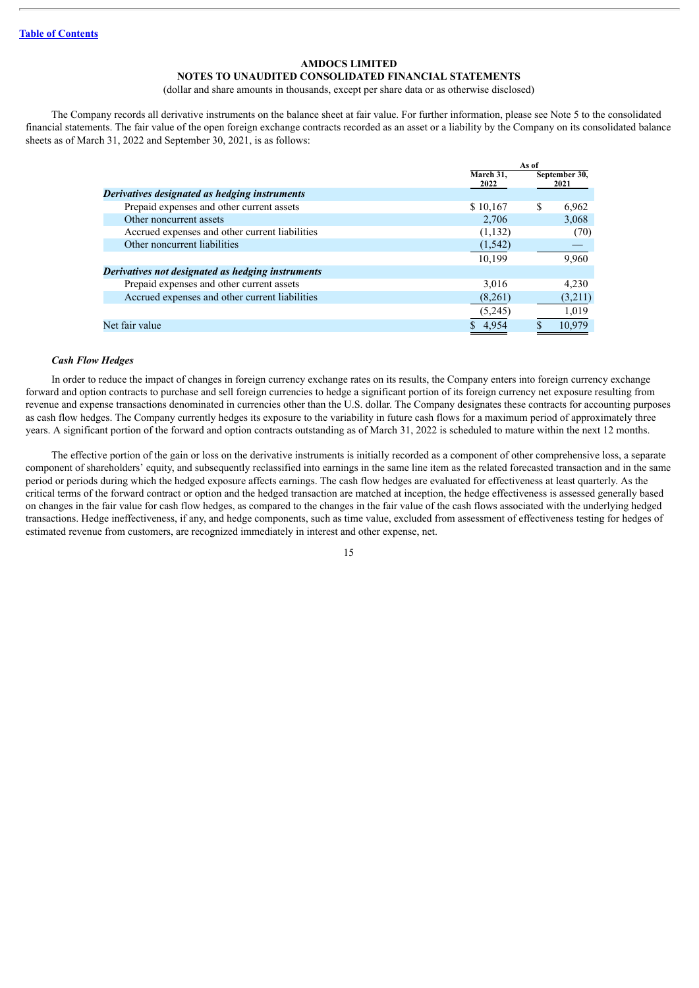### **NOTES TO UNAUDITED CONSOLIDATED FINANCIAL STATEMENTS**

(dollar and share amounts in thousands, except per share data or as otherwise disclosed)

The Company records all derivative instruments on the balance sheet at fair value. For further information, please see Note 5 to the consolidated financial statements. The fair value of the open foreign exchange contracts recorded as an asset or a liability by the Company on its consolidated balance sheets as of March 31, 2022 and September 30, 2021, is as follows:

|                |                                                   |                   | As of |                       |  |
|----------------|---------------------------------------------------|-------------------|-------|-----------------------|--|
|                |                                                   | March 31,<br>2022 |       | September 30,<br>2021 |  |
|                | Derivatives designated as hedging instruments     |                   |       |                       |  |
|                | Prepaid expenses and other current assets         | \$10,167          | S     | 6,962                 |  |
|                | Other noncurrent assets                           | 2.706             |       | 3,068                 |  |
|                | Accrued expenses and other current liabilities    | (1,132)           |       | (70)                  |  |
|                | Other noncurrent liabilities                      | (1, 542)          |       |                       |  |
|                |                                                   | 10,199            |       | 9,960                 |  |
|                | Derivatives not designated as hedging instruments |                   |       |                       |  |
|                | Prepaid expenses and other current assets         | 3,016             |       | 4,230                 |  |
|                | Accrued expenses and other current liabilities    | (8,261)           |       | (3,211)               |  |
|                |                                                   | (5,245)           |       | 1,019                 |  |
| Net fair value |                                                   | 4,954             |       | 10.979                |  |

#### *Cash Flow Hedges*

In order to reduce the impact of changes in foreign currency exchange rates on its results, the Company enters into foreign currency exchange forward and option contracts to purchase and sell foreign currencies to hedge a significant portion of its foreign currency net exposure resulting from revenue and expense transactions denominated in currencies other than the U.S. dollar. The Company designates these contracts for accounting purposes as cash flow hedges. The Company currently hedges its exposure to the variability in future cash flows for a maximum period of approximately three years. A significant portion of the forward and option contracts outstanding as of March 31, 2022 is scheduled to mature within the next 12 months.

The effective portion of the gain or loss on the derivative instruments is initially recorded as a component of other comprehensive loss, a separate component of shareholders' equity, and subsequently reclassified into earnings in the same line item as the related forecasted transaction and in the same period or periods during which the hedged exposure affects earnings. The cash flow hedges are evaluated for effectiveness at least quarterly. As the critical terms of the forward contract or option and the hedged transaction are matched at inception, the hedge effectiveness is assessed generally based on changes in the fair value for cash flow hedges, as compared to the changes in the fair value of the cash flows associated with the underlying hedged transactions. Hedge ineffectiveness, if any, and hedge components, such as time value, excluded from assessment of effectiveness testing for hedges of estimated revenue from customers, are recognized immediately in interest and other expense, net.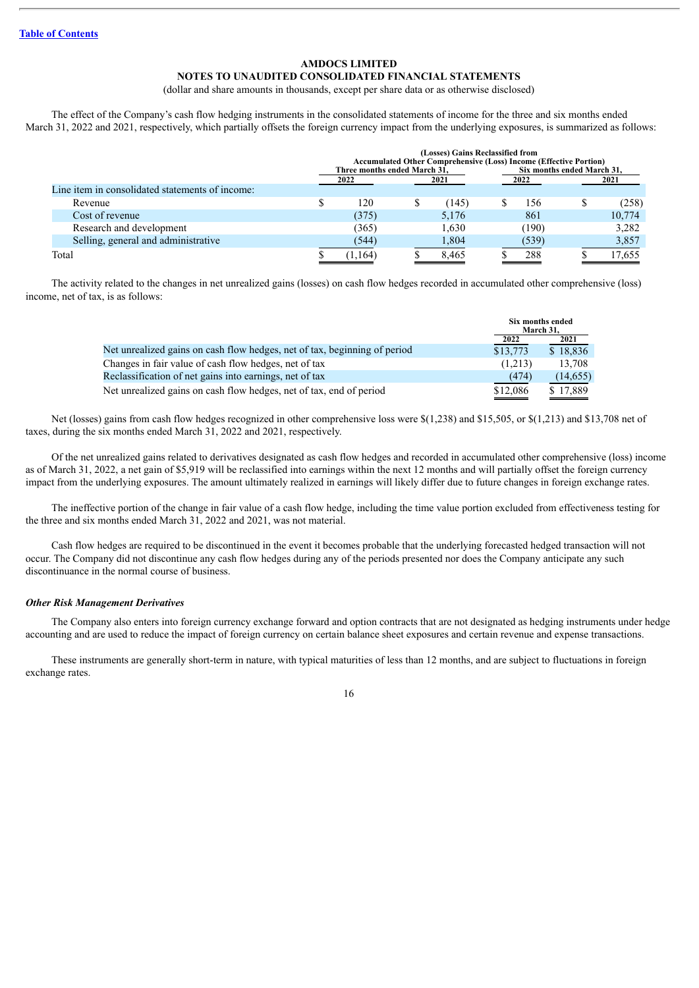### **NOTES TO UNAUDITED CONSOLIDATED FINANCIAL STATEMENTS**

(dollar and share amounts in thousands, except per share data or as otherwise disclosed)

The effect of the Company's cash flow hedging instruments in the consolidated statements of income for the three and six months ended March 31, 2022 and 2021, respectively, which partially offsets the foreign currency impact from the underlying exposures, is summarized as follows:

|                                                 |                              | (Losses) Gains Reclassified from<br><b>Accumulated Other Comprehensive (Loss) Income (Effective Portion)</b> |       |                            |        |
|-------------------------------------------------|------------------------------|--------------------------------------------------------------------------------------------------------------|-------|----------------------------|--------|
|                                                 | Three months ended March 31. |                                                                                                              |       | Six months ended March 31. |        |
| Line item in consolidated statements of income: | 2022                         | 2021                                                                                                         | 2022  |                            | 2021   |
| Revenue                                         | \$<br>120                    | (145)                                                                                                        | 156   |                            | (258)  |
| Cost of revenue                                 | (375)                        | 5,176                                                                                                        | 861   |                            | 10,774 |
| Research and development                        | (365)                        | 1.630                                                                                                        | (190) |                            | 3.282  |
| Selling, general and administrative             | (544)                        | 1,804                                                                                                        | (539) |                            | 3,857  |
| Total                                           | 1.164                        | 8.465                                                                                                        | 288   |                            | 17,655 |

The activity related to the changes in net unrealized gains (losses) on cash flow hedges recorded in accumulated other comprehensive (loss) income, net of tax, is as follows:

|                                                                           | Six months ended<br>March 31. |          |
|---------------------------------------------------------------------------|-------------------------------|----------|
|                                                                           | 2022                          | 2021     |
| Net unrealized gains on cash flow hedges, net of tax, beginning of period | \$13,773                      | \$18,836 |
| Changes in fair value of cash flow hedges, net of tax                     | (1,213)                       | 13.708   |
| Reclassification of net gains into earnings, net of tax                   | (474)                         | (14,655) |
| Net unrealized gains on cash flow hedges, net of tax, end of period       | \$12.086                      | \$17.889 |

Net (losses) gains from cash flow hedges recognized in other comprehensive loss were \$(1,238) and \$15,505, or \$(1,213) and \$13,708 net of taxes, during the six months ended March 31, 2022 and 2021, respectively.

Of the net unrealized gains related to derivatives designated as cash flow hedges and recorded in accumulated other comprehensive (loss) income as of March 31, 2022, a net gain of \$5,919 will be reclassified into earnings within the next 12 months and will partially offset the foreign currency impact from the underlying exposures. The amount ultimately realized in earnings will likely differ due to future changes in foreign exchange rates.

The ineffective portion of the change in fair value of a cash flow hedge, including the time value portion excluded from effectiveness testing for the three and six months ended March 31, 2022 and 2021, was not material.

Cash flow hedges are required to be discontinued in the event it becomes probable that the underlying forecasted hedged transaction will not occur. The Company did not discontinue any cash flow hedges during any of the periods presented nor does the Company anticipate any such discontinuance in the normal course of business.

#### *Other Risk Management Derivatives*

The Company also enters into foreign currency exchange forward and option contracts that are not designated as hedging instruments under hedge accounting and are used to reduce the impact of foreign currency on certain balance sheet exposures and certain revenue and expense transactions.

These instruments are generally short-term in nature, with typical maturities of less than 12 months, and are subject to fluctuations in foreign exchange rates.

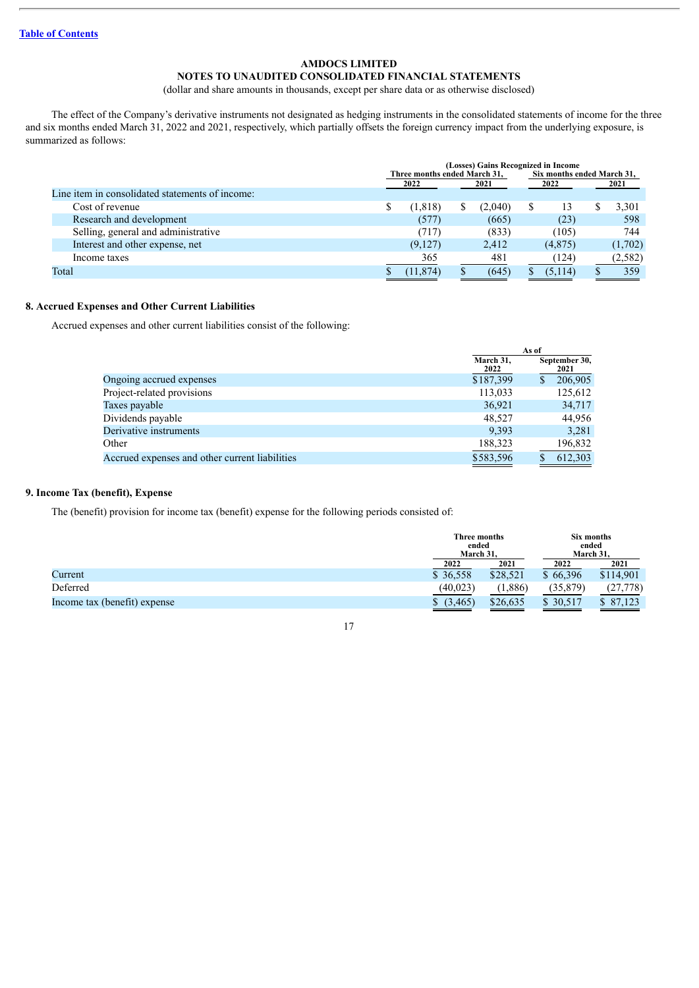### **NOTES TO UNAUDITED CONSOLIDATED FINANCIAL STATEMENTS**

(dollar and share amounts in thousands, except per share data or as otherwise disclosed)

The effect of the Company's derivative instruments not designated as hedging instruments in the consolidated statements of income for the three and six months ended March 31, 2022 and 2021, respectively, which partially offsets the foreign currency impact from the underlying exposure, is summarized as follows:

|                                                 | (Losses) Gains Recognized in Income<br>Three months ended March 31,<br>Six months ended March 31, |           |    |         |         |  |          |
|-------------------------------------------------|---------------------------------------------------------------------------------------------------|-----------|----|---------|---------|--|----------|
|                                                 |                                                                                                   | 2022      |    | 2021    | 2022    |  | 2021     |
| Line item in consolidated statements of income: |                                                                                                   |           |    |         |         |  |          |
| Cost of revenue                                 |                                                                                                   | (1, 818)  | S. | (2,040) | 13      |  | 3,301    |
| Research and development                        |                                                                                                   | (577)     |    | (665)   | (23)    |  | 598      |
| Selling, general and administrative             |                                                                                                   | (717)     |    | (833)   | (105)   |  | 744      |
| Interest and other expense, net                 |                                                                                                   | (9,127)   |    | 2,412   | (4,875) |  | (1,702)  |
| Income taxes                                    |                                                                                                   | 365       |    | 481     | (124)   |  | (2, 582) |
| Total                                           |                                                                                                   | (11, 874) |    | (645)   | (5,114) |  | 359      |

### **8. Accrued Expenses and Other Current Liabilities**

Accrued expenses and other current liabilities consist of the following:

|                                                |                   | As of                 |
|------------------------------------------------|-------------------|-----------------------|
|                                                | March 31,<br>2022 | September 30,<br>2021 |
| Ongoing accrued expenses                       | \$187,399         | 206,905               |
| Project-related provisions                     | 113,033           | 125,612               |
| Taxes payable                                  | 36,921            | 34,717                |
| Dividends payable                              | 48.527            | 44.956                |
| Derivative instruments                         | 9.393             | 3,281                 |
| Other                                          | 188,323           | 196,832               |
| Accrued expenses and other current liabilities | \$583,596         | 612,303               |

### **9. Income Tax (benefit), Expense**

The (benefit) provision for income tax (benefit) expense for the following periods consisted of:

|                              |          | Three months<br>ended<br>March 31. |           | Six months<br>ended<br>March 31. |
|------------------------------|----------|------------------------------------|-----------|----------------------------------|
|                              | 2022     | 2021                               | 2022      | 2021                             |
| Current                      | \$36,558 | \$28,521                           | \$66.396  | \$114,901                        |
| Deferred                     | (40,023) | (1,886)                            | (35, 879) | (27, 778)                        |
| Income tax (benefit) expense | (3,465)  | \$26,635                           | \$ 30.517 | \$ 87.123                        |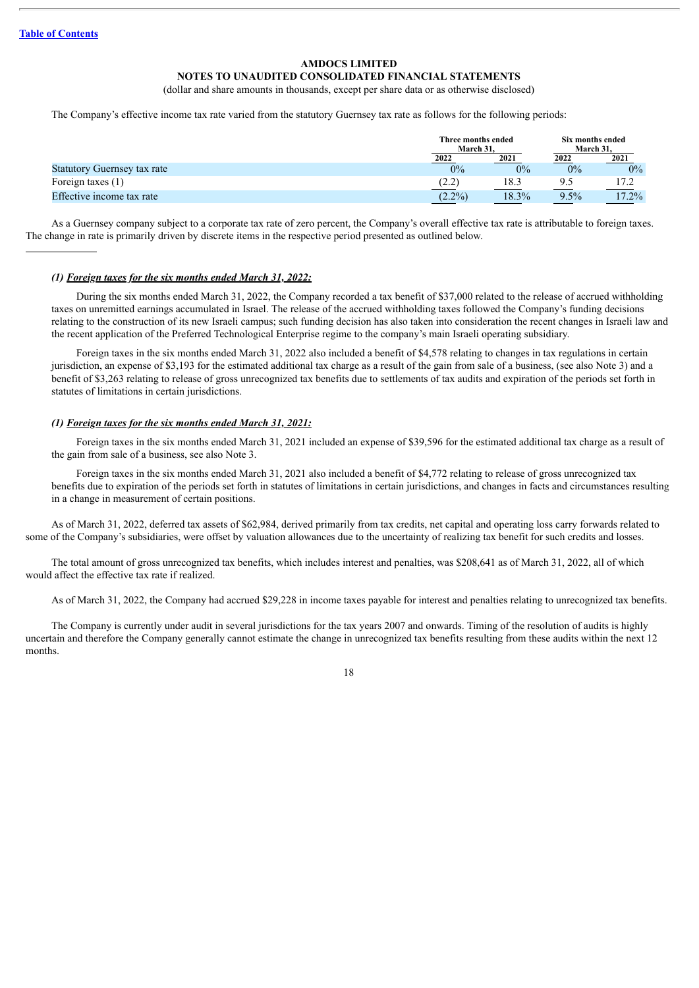### **NOTES TO UNAUDITED CONSOLIDATED FINANCIAL STATEMENTS**

(dollar and share amounts in thousands, except per share data or as otherwise disclosed)

The Company's effective income tax rate varied from the statutory Guernsey tax rate as follows for the following periods:

|                                    |           | Three months ended<br>March 31. |         | Six months ended<br>March 31. |
|------------------------------------|-----------|---------------------------------|---------|-------------------------------|
|                                    | 2022      | 2021                            | 2022    | 2021                          |
| <b>Statutory Guernsey tax rate</b> | $0\%$     | 0%                              | $0\%$   | $0\%$                         |
| Foreign taxes $(1)$                | (2.2)     | 18.3                            |         | 17.2                          |
| Effective income tax rate          | $(2.2\%)$ | 18.3%                           | $9.5\%$ | 17.2%                         |

As a Guernsey company subject to a corporate tax rate of zero percent, the Company's overall effective tax rate is attributable to foreign taxes. The change in rate is primarily driven by discrete items in the respective period presented as outlined below.

### *(1) Foreign taxes for the six months ended March 31, 2022:*

During the six months ended March 31, 2022, the Company recorded a tax benefit of \$37,000 related to the release of accrued withholding taxes on unremitted earnings accumulated in Israel. The release of the accrued withholding taxes followed the Company's funding decisions relating to the construction of its new Israeli campus; such funding decision has also taken into consideration the recent changes in Israeli law and the recent application of the Preferred Technological Enterprise regime to the company's main Israeli operating subsidiary.

Foreign taxes in the six months ended March 31, 2022 also included a benefit of \$4,578 relating to changes in tax regulations in certain jurisdiction, an expense of \$3,193 for the estimated additional tax charge as a result of the gain from sale of a business, (see also Note 3) and a benefit of \$3,263 relating to release of gross unrecognized tax benefits due to settlements of tax audits and expiration of the periods set forth in statutes of limitations in certain jurisdictions.

#### *(1) Foreign taxes for the six months ended March 31, 2021:*

Foreign taxes in the six months ended March 31, 2021 included an expense of \$39,596 for the estimated additional tax charge as a result of the gain from sale of a business, see also Note 3.

Foreign taxes in the six months ended March 31, 2021 also included a benefit of \$4,772 relating to release of gross unrecognized tax benefits due to expiration of the periods set forth in statutes of limitations in certain jurisdictions, and changes in facts and circumstances resulting in a change in measurement of certain positions.

As of March 31, 2022, deferred tax assets of \$62,984, derived primarily from tax credits, net capital and operating loss carry forwards related to some of the Company's subsidiaries, were offset by valuation allowances due to the uncertainty of realizing tax benefit for such credits and losses.

The total amount of gross unrecognized tax benefits, which includes interest and penalties, was \$208,641 as of March 31, 2022, all of which would affect the effective tax rate if realized.

As of March 31, 2022, the Company had accrued \$29,228 in income taxes payable for interest and penalties relating to unrecognized tax benefits.

The Company is currently under audit in several jurisdictions for the tax years 2007 and onwards. Timing of the resolution of audits is highly uncertain and therefore the Company generally cannot estimate the change in unrecognized tax benefits resulting from these audits within the next 12 months.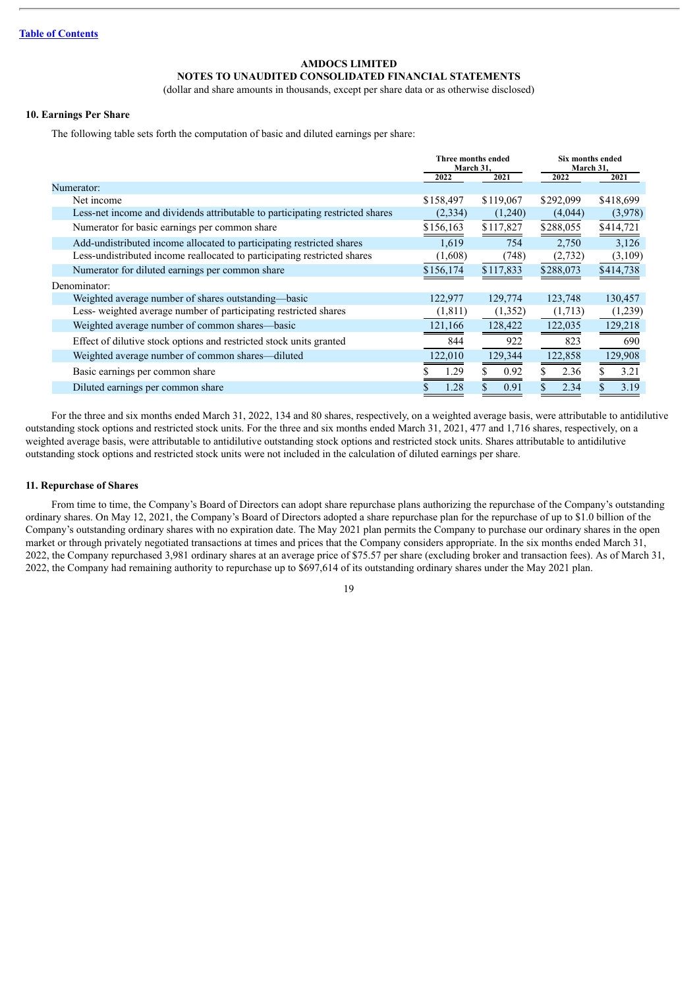### **NOTES TO UNAUDITED CONSOLIDATED FINANCIAL STATEMENTS**

(dollar and share amounts in thousands, except per share data or as otherwise disclosed)

### **10. Earnings Per Share**

The following table sets forth the computation of basic and diluted earnings per share:

|                                                                               | Three months ended<br>March 31, |           | Six months ended<br>March 31, |           |  |
|-------------------------------------------------------------------------------|---------------------------------|-----------|-------------------------------|-----------|--|
|                                                                               | 2022                            | 2021      | 2022                          | 2021      |  |
| Numerator:                                                                    |                                 |           |                               |           |  |
| Net income                                                                    | \$158,497                       | \$119,067 | \$292,099                     | \$418,699 |  |
| Less-net income and dividends attributable to participating restricted shares | (2, 334)                        | (1,240)   | (4,044)                       | (3,978)   |  |
| Numerator for basic earnings per common share                                 | \$156,163                       | \$117,827 | \$288,055                     | \$414,721 |  |
| Add-undistributed income allocated to participating restricted shares         | 1,619                           | 754       | 2,750                         | 3,126     |  |
| Less-undistributed income reallocated to participating restricted shares      | (1,608)                         | (748)     | (2,732)                       | (3,109)   |  |
| Numerator for diluted earnings per common share                               | \$156,174                       | \$117,833 | \$288,073                     | \$414,738 |  |
| Denominator:                                                                  |                                 |           |                               |           |  |
| Weighted average number of shares outstanding—basic                           | 122,977                         | 129,774   | 123,748                       | 130,457   |  |
| Less-weighted average number of participating restricted shares               | (1, 811)                        | (1,352)   | (1,713)                       | (1,239)   |  |
| Weighted average number of common shares—basic                                | 121,166                         | 128,422   | 122,035                       | 129,218   |  |
| Effect of dilutive stock options and restricted stock units granted           | 844                             | 922       | 823                           | 690       |  |
| Weighted average number of common shares—diluted                              | 122,010                         | 129,344   | 122,858                       | 129,908   |  |
| Basic earnings per common share                                               | 1.29                            | 0.92      | 2.36                          | 3.21      |  |
| Diluted earnings per common share                                             | 1.28                            | 0.91      | 2.34                          | 3.19      |  |

For the three and six months ended March 31, 2022, 134 and 80 shares, respectively, on a weighted average basis, were attributable to antidilutive outstanding stock options and restricted stock units. For the three and six months ended March 31, 2021, 477 and 1,716 shares, respectively, on a weighted average basis, were attributable to antidilutive outstanding stock options and restricted stock units. Shares attributable to antidilutive outstanding stock options and restricted stock units were not included in the calculation of diluted earnings per share.

### **11. Repurchase of Shares**

From time to time, the Company's Board of Directors can adopt share repurchase plans authorizing the repurchase of the Company's outstanding ordinary shares. On May 12, 2021, the Company's Board of Directors adopted a share repurchase plan for the repurchase of up to \$1.0 billion of the Company's outstanding ordinary shares with no expiration date. The May 2021 plan permits the Company to purchase our ordinary shares in the open market or through privately negotiated transactions at times and prices that the Company considers appropriate. In the six months ended March 31, 2022, the Company repurchased 3,981 ordinary shares at an average price of \$75.57 per share (excluding broker and transaction fees). As of March 31, 2022, the Company had remaining authority to repurchase up to \$697,614 of its outstanding ordinary shares under the May 2021 plan.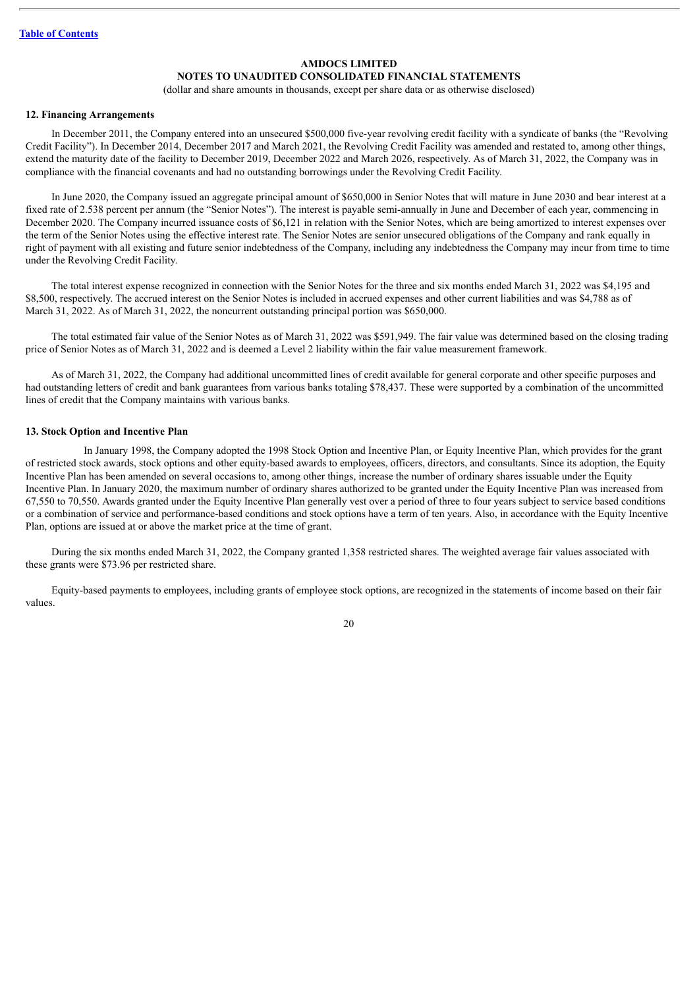### **NOTES TO UNAUDITED CONSOLIDATED FINANCIAL STATEMENTS**

(dollar and share amounts in thousands, except per share data or as otherwise disclosed)

#### **12. Financing Arrangements**

In December 2011, the Company entered into an unsecured \$500,000 five-year revolving credit facility with a syndicate of banks (the "Revolving Credit Facility"). In December 2014, December 2017 and March 2021, the Revolving Credit Facility was amended and restated to, among other things, extend the maturity date of the facility to December 2019, December 2022 and March 2026, respectively. As of March 31, 2022, the Company was in compliance with the financial covenants and had no outstanding borrowings under the Revolving Credit Facility.

In June 2020, the Company issued an aggregate principal amount of \$650,000 in Senior Notes that will mature in June 2030 and bear interest at a fixed rate of 2.538 percent per annum (the "Senior Notes"). The interest is payable semi-annually in June and December of each year, commencing in December 2020. The Company incurred issuance costs of \$6,121 in relation with the Senior Notes, which are being amortized to interest expenses over the term of the Senior Notes using the effective interest rate. The Senior Notes are senior unsecured obligations of the Company and rank equally in right of payment with all existing and future senior indebtedness of the Company, including any indebtedness the Company may incur from time to time under the Revolving Credit Facility.

The total interest expense recognized in connection with the Senior Notes for the three and six months ended March 31, 2022 was \$4,195 and \$8,500, respectively. The accrued interest on the Senior Notes is included in accrued expenses and other current liabilities and was \$4,788 as of March 31, 2022. As of March 31, 2022, the noncurrent outstanding principal portion was \$650,000.

The total estimated fair value of the Senior Notes as of March 31, 2022 was \$591,949. The fair value was determined based on the closing trading price of Senior Notes as of March 31, 2022 and is deemed a Level 2 liability within the fair value measurement framework.

As of March 31, 2022, the Company had additional uncommitted lines of credit available for general corporate and other specific purposes and had outstanding letters of credit and bank guarantees from various banks totaling \$78,437. These were supported by a combination of the uncommitted lines of credit that the Company maintains with various banks.

#### **13. Stock Option and Incentive Plan**

In January 1998, the Company adopted the 1998 Stock Option and Incentive Plan, or Equity Incentive Plan, which provides for the grant of restricted stock awards, stock options and other equity-based awards to employees, officers, directors, and consultants. Since its adoption, the Equity Incentive Plan has been amended on several occasions to, among other things, increase the number of ordinary shares issuable under the Equity Incentive Plan. In January 2020, the maximum number of ordinary shares authorized to be granted under the Equity Incentive Plan was increased from 67,550 to 70,550. Awards granted under the Equity Incentive Plan generally vest over a period of three to four years subject to service based conditions or a combination of service and performance-based conditions and stock options have a term of ten years. Also, in accordance with the Equity Incentive Plan, options are issued at or above the market price at the time of grant.

During the six months ended March 31, 2022, the Company granted 1,358 restricted shares. The weighted average fair values associated with these grants were \$73.96 per restricted share.

Equity-based payments to employees, including grants of employee stock options, are recognized in the statements of income based on their fair values.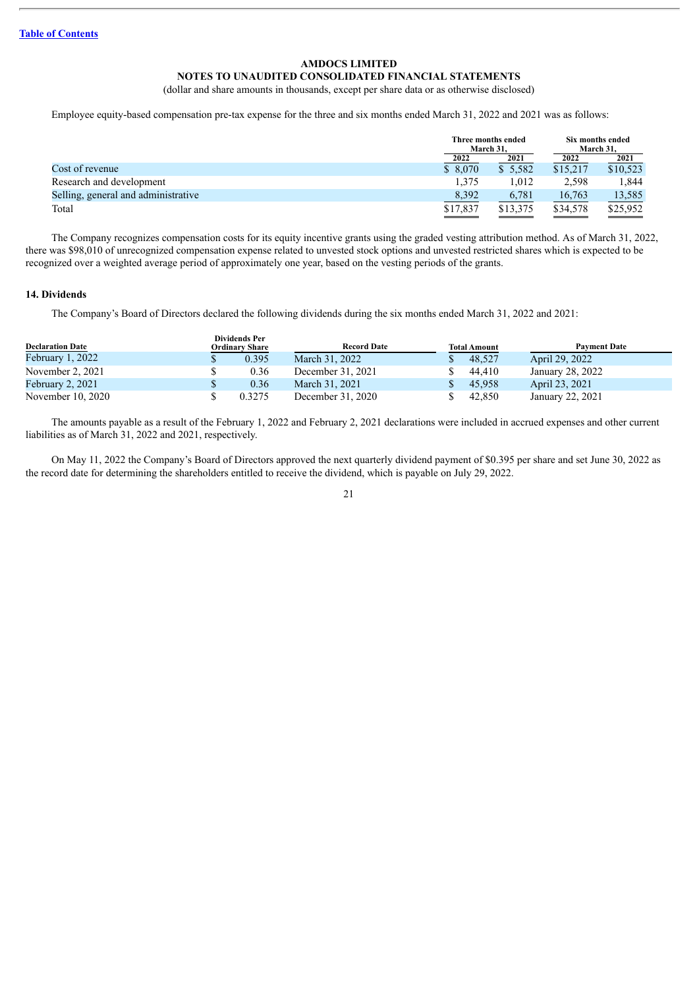### **NOTES TO UNAUDITED CONSOLIDATED FINANCIAL STATEMENTS**

(dollar and share amounts in thousands, except per share data or as otherwise disclosed)

Employee equity-based compensation pre-tax expense for the three and six months ended March 31, 2022 and 2021 was as follows:

|                                     |                                      | Three months ended<br>March 31. |          | Six months ended<br>March 31. |
|-------------------------------------|--------------------------------------|---------------------------------|----------|-------------------------------|
|                                     | 2022                                 | 2021                            | 2022     | 2021                          |
| Cost of revenue                     | \$8,070                              | \$5,582                         | \$15,217 | \$10,523                      |
| Research and development            | 1,375                                | 1.012                           | 2,598    | 1,844                         |
| Selling, general and administrative | 8,392                                | 6.781                           | 16,763   | 13,585                        |
| Total                               | \$17,837<br>$\overline{\phantom{a}}$ | \$13,375                        | \$34,578 | \$25,952                      |

The Company recognizes compensation costs for its equity incentive grants using the graded vesting attribution method. As of March 31, 2022, there was \$98,010 of unrecognized compensation expense related to unvested stock options and unvested restricted shares which is expected to be recognized over a weighted average period of approximately one year, based on the vesting periods of the grants.

#### **14. Dividends**

The Company's Board of Directors declared the following dividends during the six months ended March 31, 2022 and 2021:

| <b>Declaration Date</b> | <b>Dividends Per</b><br>Ordinary Share | <b>Record Date</b> | <b>Total Amount</b> | <b>Payment Date</b> |
|-------------------------|----------------------------------------|--------------------|---------------------|---------------------|
| February $1, 2022$      | 0.395                                  | March 31, 2022     | 48,527              | April 29, 2022      |
| November $2, 2021$      | 0.36                                   | December 31, 2021  | 44.410              | January 28, 2022    |
| February 2, 2021        | 0.36                                   | March 31, 2021     | 45,958              | April 23, 2021      |
| November 10, 2020       | 0.3275                                 | December 31, 2020  | 42,850              | January 22, 2021    |

The amounts payable as a result of the February 1, 2022 and February 2, 2021 declarations were included in accrued expenses and other current liabilities as of March 31, 2022 and 2021, respectively.

On May 11, 2022 the Company's Board of Directors approved the next quarterly dividend payment of \$0.395 per share and set June 30, 2022 as the record date for determining the shareholders entitled to receive the dividend, which is payable on July 29, 2022.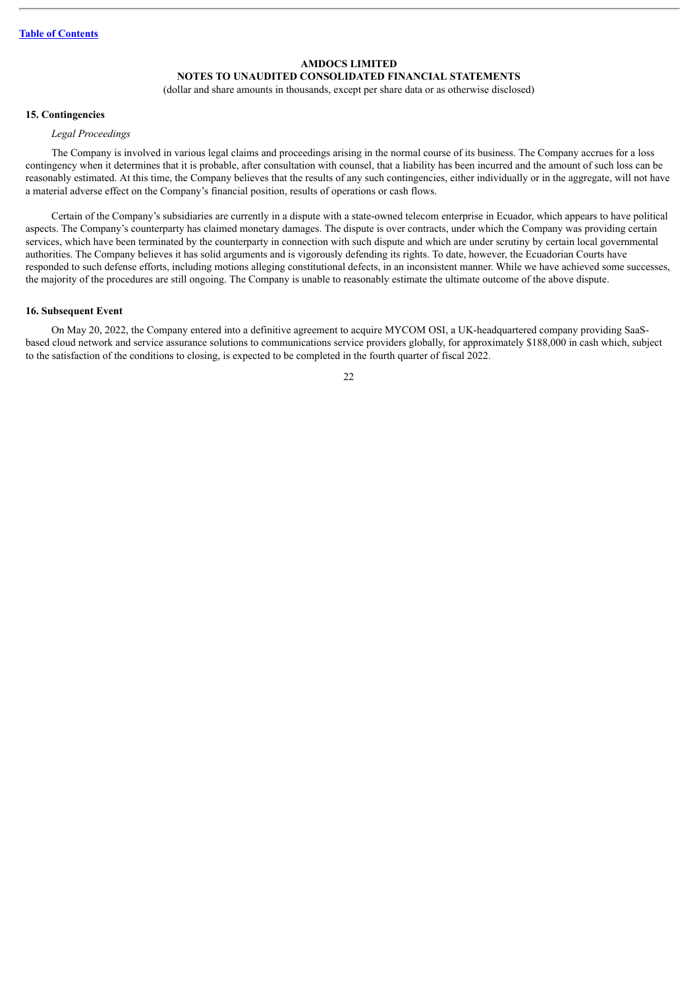### **NOTES TO UNAUDITED CONSOLIDATED FINANCIAL STATEMENTS**

(dollar and share amounts in thousands, except per share data or as otherwise disclosed)

### **15. Contingencies**

### *Legal Proceedings*

The Company is involved in various legal claims and proceedings arising in the normal course of its business. The Company accrues for a loss contingency when it determines that it is probable, after consultation with counsel, that a liability has been incurred and the amount of such loss can be reasonably estimated. At this time, the Company believes that the results of any such contingencies, either individually or in the aggregate, will not have a material adverse effect on the Company's financial position, results of operations or cash flows.

Certain of the Company's subsidiaries are currently in a dispute with a state-owned telecom enterprise in Ecuador, which appears to have political aspects. The Company's counterparty has claimed monetary damages. The dispute is over contracts, under which the Company was providing certain services, which have been terminated by the counterparty in connection with such dispute and which are under scrutiny by certain local governmental authorities. The Company believes it has solid arguments and is vigorously defending its rights. To date, however, the Ecuadorian Courts have responded to such defense efforts, including motions alleging constitutional defects, in an inconsistent manner. While we have achieved some successes, the majority of the procedures are still ongoing. The Company is unable to reasonably estimate the ultimate outcome of the above dispute.

#### **16. Subsequent Event**

On May 20, 2022, the Company entered into a definitive agreement to acquire MYCOM OSI, a UK-headquartered company providing SaaSbased cloud network and service assurance solutions to communications service providers globally, for approximately \$188,000 in cash which, subject to the satisfaction of the conditions to closing, is expected to be completed in the fourth quarter of fiscal 2022.

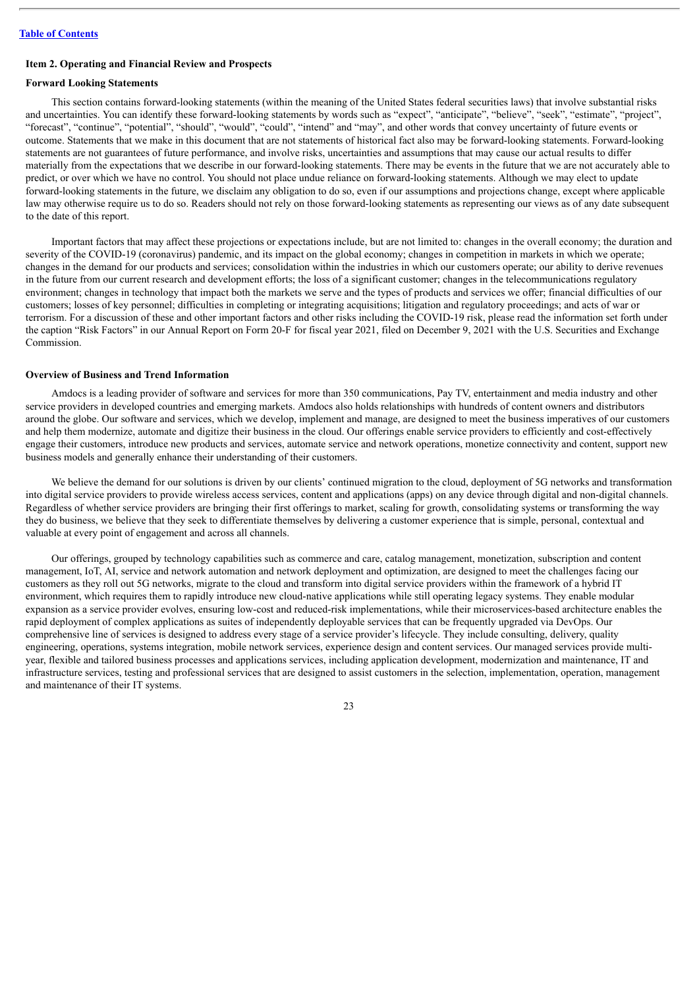### <span id="page-22-0"></span>**Item 2. Operating and Financial Review and Prospects**

### **Forward Looking Statements**

This section contains forward-looking statements (within the meaning of the United States federal securities laws) that involve substantial risks and uncertainties. You can identify these forward-looking statements by words such as "expect", "anticipate", "believe", "seek", "estimate", "project", "forecast", "continue", "potential", "should", "would", "could", "intend" and "may", and other words that convey uncertainty of future events or outcome. Statements that we make in this document that are not statements of historical fact also may be forward-looking statements. Forward-looking statements are not guarantees of future performance, and involve risks, uncertainties and assumptions that may cause our actual results to differ materially from the expectations that we describe in our forward-looking statements. There may be events in the future that we are not accurately able to predict, or over which we have no control. You should not place undue reliance on forward-looking statements. Although we may elect to update forward-looking statements in the future, we disclaim any obligation to do so, even if our assumptions and projections change, except where applicable law may otherwise require us to do so. Readers should not rely on those forward-looking statements as representing our views as of any date subsequent to the date of this report.

Important factors that may affect these projections or expectations include, but are not limited to: changes in the overall economy; the duration and severity of the COVID-19 (coronavirus) pandemic, and its impact on the global economy; changes in competition in markets in which we operate; changes in the demand for our products and services; consolidation within the industries in which our customers operate; our ability to derive revenues in the future from our current research and development efforts; the loss of a significant customer; changes in the telecommunications regulatory environment; changes in technology that impact both the markets we serve and the types of products and services we offer; financial difficulties of our customers; losses of key personnel; difficulties in completing or integrating acquisitions; litigation and regulatory proceedings; and acts of war or terrorism. For a discussion of these and other important factors and other risks including the COVID-19 risk, please read the information set forth under the caption "Risk Factors" in our Annual Report on Form 20-F for fiscal year 2021, filed on December 9, 2021 with the U.S. Securities and Exchange Commission.

#### **Overview of Business and Trend Information**

Amdocs is a leading provider of software and services for more than 350 communications, Pay TV, entertainment and media industry and other service providers in developed countries and emerging markets. Amdocs also holds relationships with hundreds of content owners and distributors around the globe. Our software and services, which we develop, implement and manage, are designed to meet the business imperatives of our customers and help them modernize, automate and digitize their business in the cloud. Our offerings enable service providers to efficiently and cost-effectively engage their customers, introduce new products and services, automate service and network operations, monetize connectivity and content, support new business models and generally enhance their understanding of their customers.

We believe the demand for our solutions is driven by our clients' continued migration to the cloud, deployment of 5G networks and transformation into digital service providers to provide wireless access services, content and applications (apps) on any device through digital and non-digital channels. Regardless of whether service providers are bringing their first offerings to market, scaling for growth, consolidating systems or transforming the way they do business, we believe that they seek to differentiate themselves by delivering a customer experience that is simple, personal, contextual and valuable at every point of engagement and across all channels.

Our offerings, grouped by technology capabilities such as commerce and care, catalog management, monetization, subscription and content management, IoT, AI, service and network automation and network deployment and optimization, are designed to meet the challenges facing our customers as they roll out 5G networks, migrate to the cloud and transform into digital service providers within the framework of a hybrid IT environment, which requires them to rapidly introduce new cloud-native applications while still operating legacy systems. They enable modular expansion as a service provider evolves, ensuring low-cost and reduced-risk implementations, while their microservices-based architecture enables the rapid deployment of complex applications as suites of independently deployable services that can be frequently upgraded via DevOps. Our comprehensive line of services is designed to address every stage of a service provider's lifecycle. They include consulting, delivery, quality engineering, operations, systems integration, mobile network services, experience design and content services. Our managed services provide multiyear, flexible and tailored business processes and applications services, including application development, modernization and maintenance, IT and infrastructure services, testing and professional services that are designed to assist customers in the selection, implementation, operation, management and maintenance of their IT systems.

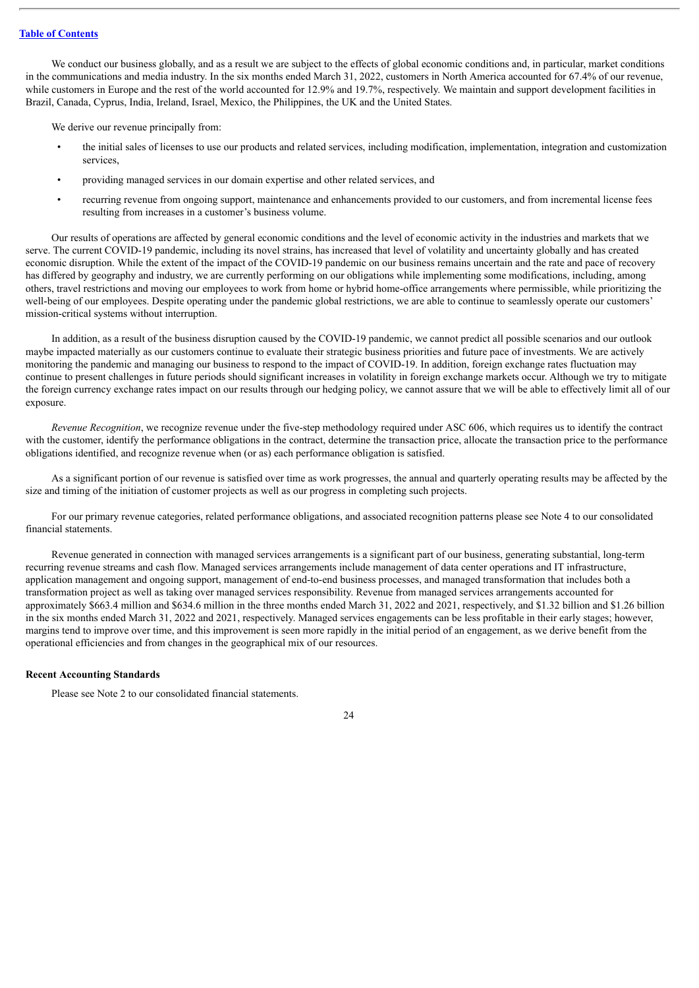We conduct our business globally, and as a result we are subject to the effects of global economic conditions and, in particular, market conditions in the communications and media industry. In the six months ended March 31, 2022, customers in North America accounted for 67.4% of our revenue, while customers in Europe and the rest of the world accounted for 12.9% and 19.7%, respectively. We maintain and support development facilities in Brazil, Canada, Cyprus, India, Ireland, Israel, Mexico, the Philippines, the UK and the United States.

We derive our revenue principally from:

- the initial sales of licenses to use our products and related services, including modification, implementation, integration and customization services,
- providing managed services in our domain expertise and other related services, and
- recurring revenue from ongoing support, maintenance and enhancements provided to our customers, and from incremental license fees resulting from increases in a customer's business volume.

Our results of operations are affected by general economic conditions and the level of economic activity in the industries and markets that we serve. The current COVID-19 pandemic, including its novel strains, has increased that level of volatility and uncertainty globally and has created economic disruption. While the extent of the impact of the COVID-19 pandemic on our business remains uncertain and the rate and pace of recovery has differed by geography and industry, we are currently performing on our obligations while implementing some modifications, including, among others, travel restrictions and moving our employees to work from home or hybrid home-office arrangements where permissible, while prioritizing the well-being of our employees. Despite operating under the pandemic global restrictions, we are able to continue to seamlessly operate our customers' mission-critical systems without interruption.

In addition, as a result of the business disruption caused by the COVID-19 pandemic, we cannot predict all possible scenarios and our outlook maybe impacted materially as our customers continue to evaluate their strategic business priorities and future pace of investments. We are actively monitoring the pandemic and managing our business to respond to the impact of COVID-19. In addition, foreign exchange rates fluctuation may continue to present challenges in future periods should significant increases in volatility in foreign exchange markets occur. Although we try to mitigate the foreign currency exchange rates impact on our results through our hedging policy, we cannot assure that we will be able to effectively limit all of our exposure.

*Revenue Recognition*, we recognize revenue under the five-step methodology required under ASC 606, which requires us to identify the contract with the customer, identify the performance obligations in the contract, determine the transaction price, allocate the transaction price to the performance obligations identified, and recognize revenue when (or as) each performance obligation is satisfied.

As a significant portion of our revenue is satisfied over time as work progresses, the annual and quarterly operating results may be affected by the size and timing of the initiation of customer projects as well as our progress in completing such projects.

For our primary revenue categories, related performance obligations, and associated recognition patterns please see Note 4 to our consolidated financial statements.

Revenue generated in connection with managed services arrangements is a significant part of our business, generating substantial, long-term recurring revenue streams and cash flow. Managed services arrangements include management of data center operations and IT infrastructure, application management and ongoing support, management of end-to-end business processes, and managed transformation that includes both a transformation project as well as taking over managed services responsibility. Revenue from managed services arrangements accounted for approximately \$663.4 million and \$634.6 million in the three months ended March 31, 2022 and 2021, respectively, and \$1.32 billion and \$1.26 billion in the six months ended March 31, 2022 and 2021, respectively. Managed services engagements can be less profitable in their early stages; however, margins tend to improve over time, and this improvement is seen more rapidly in the initial period of an engagement, as we derive benefit from the operational efficiencies and from changes in the geographical mix of our resources.

### **Recent Accounting Standards**

Please see Note 2 to our consolidated financial statements.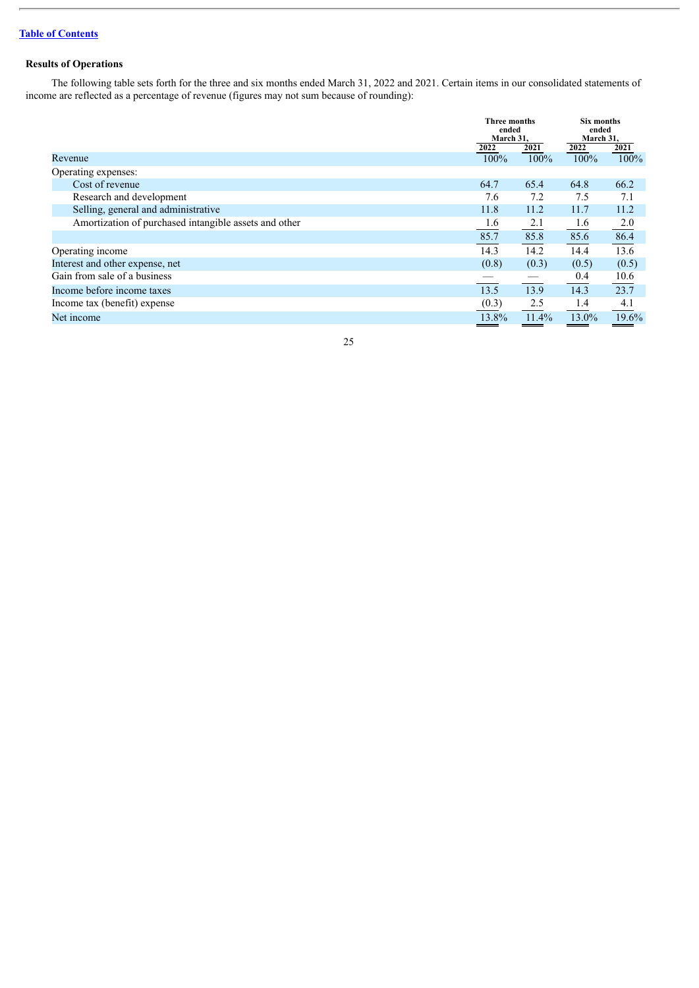### **Results of Operations**

The following table sets forth for the three and six months ended March 31, 2022 and 2021. Certain items in our consolidated statements of income are reflected as a percentage of revenue (figures may not sum because of rounding):

|                                                       |         | Three months<br>ended<br>March 31, |       | Six months<br>ended<br>March 31, |
|-------------------------------------------------------|---------|------------------------------------|-------|----------------------------------|
|                                                       | 2022    | 2021                               | 2022  | 2021                             |
| Revenue                                               | $100\%$ | 100%                               | 100%  | 100%                             |
| Operating expenses:                                   |         |                                    |       |                                  |
| Cost of revenue                                       | 64.7    | 65.4                               | 64.8  | 66.2                             |
| Research and development                              | 7.6     | 7.2                                | 7.5   | 7.1                              |
| Selling, general and administrative                   | 11.8    | 11.2                               | 11.7  | 11.2                             |
| Amortization of purchased intangible assets and other | 1.6     | 2.1                                | 1.6   | 2.0                              |
|                                                       | 85.7    | 85.8                               | 85.6  | 86.4                             |
| Operating income                                      | 14.3    | 14.2                               | 14.4  | 13.6                             |
| Interest and other expense, net                       | (0.8)   | (0.3)                              | (0.5) | (0.5)                            |
| Gain from sale of a business                          |         |                                    | 0.4   | 10.6                             |
| Income before income taxes                            | 13.5    | 13.9                               | 14.3  | 23.7                             |
| Income tax (benefit) expense                          | (0.3)   | 2.5                                | 1.4   | 4.1                              |
| Net income                                            | 13.8%   | 11.4%                              | 13.0% | 19.6%                            |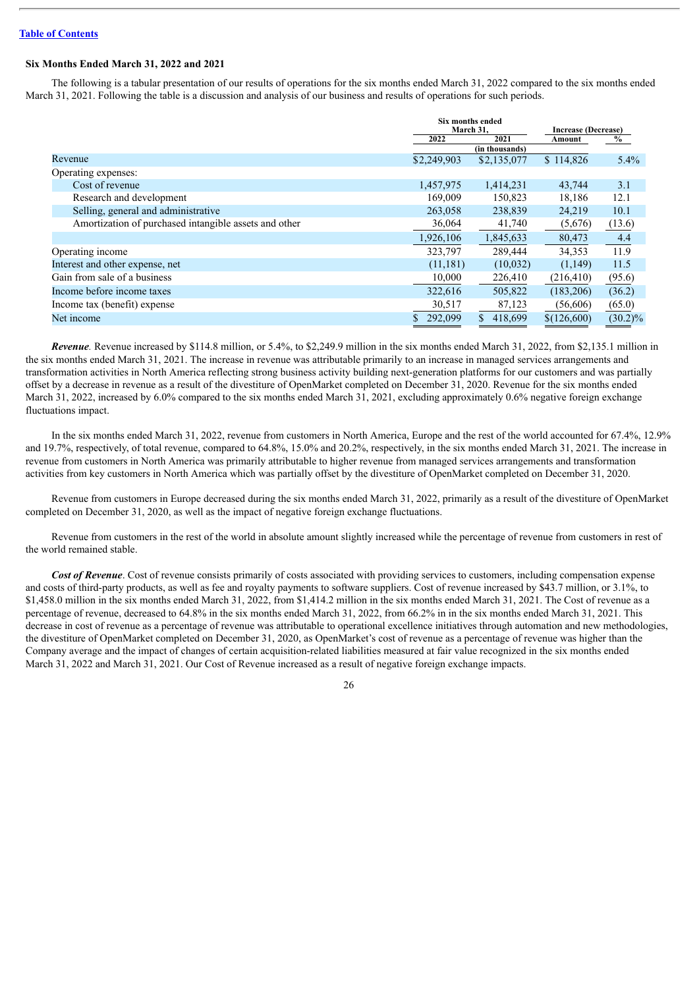### **Six Months Ended March 31, 2022 and 2021**

The following is a tabular presentation of our results of operations for the six months ended March 31, 2022 compared to the six months ended March 31, 2021. Following the table is a discussion and analysis of our business and results of operations for such periods.

|                                                       | Six months ended<br>March 31, |                | Increase (Decrease) |            |
|-------------------------------------------------------|-------------------------------|----------------|---------------------|------------|
|                                                       | 2022                          | 2021           | Amount              | $\%$       |
|                                                       |                               | (in thousands) |                     |            |
| Revenue                                               | \$2,249,903                   | \$2,135,077    | \$114,826           | 5.4%       |
| Operating expenses:                                   |                               |                |                     |            |
| Cost of revenue                                       | 1,457,975                     | 1,414,231      | 43,744              | 3.1        |
| Research and development                              | 169,009                       | 150,823        | 18,186              | 12.1       |
| Selling, general and administrative                   | 263,058                       | 238,839        | 24,219              | 10.1       |
| Amortization of purchased intangible assets and other | 36,064                        | 41,740         | (5,676)             | (13.6)     |
|                                                       | 1,926,106                     | 1,845,633      | 80,473              | 4.4        |
| Operating income                                      | 323.797                       | 289.444        | 34,353              | 11.9       |
| Interest and other expense, net                       | (11, 181)                     | (10,032)       | (1,149)             | 11.5       |
| Gain from sale of a business                          | 10,000                        | 226,410        | (216, 410)          | (95.6)     |
| Income before income taxes                            | 322,616                       | 505,822        | (183, 206)          | (36.2)     |
| Income tax (benefit) expense                          | 30,517                        | 87,123         | (56,606)            | (65.0)     |
| Net income                                            | 292,099                       | 418.699        | \$(126,600)         | $(30.2)\%$ |

*Revenue.* Revenue increased by \$114.8 million, or 5.4%, to \$2,249.9 million in the six months ended March 31, 2022, from \$2,135.1 million in the six months ended March 31, 2021. The increase in revenue was attributable primarily to an increase in managed services arrangements and transformation activities in North America reflecting strong business activity building next-generation platforms for our customers and was partially offset by a decrease in revenue as a result of the divestiture of OpenMarket completed on December 31, 2020. Revenue for the six months ended March 31, 2022, increased by 6.0% compared to the six months ended March 31, 2021, excluding approximately 0.6% negative foreign exchange fluctuations impact.

In the six months ended March 31, 2022, revenue from customers in North America, Europe and the rest of the world accounted for 67.4%, 12.9% and 19.7%, respectively, of total revenue, compared to 64.8%, 15.0% and 20.2%, respectively, in the six months ended March 31, 2021. The increase in revenue from customers in North America was primarily attributable to higher revenue from managed services arrangements and transformation activities from key customers in North America which was partially offset by the divestiture of OpenMarket completed on December 31, 2020.

Revenue from customers in Europe decreased during the six months ended March 31, 2022, primarily as a result of the divestiture of OpenMarket completed on December 31, 2020, as well as the impact of negative foreign exchange fluctuations.

Revenue from customers in the rest of the world in absolute amount slightly increased while the percentage of revenue from customers in rest of the world remained stable.

*Cost of Revenue*. Cost of revenue consists primarily of costs associated with providing services to customers, including compensation expense and costs of third-party products, as well as fee and royalty payments to software suppliers. Cost of revenue increased by \$43.7 million, or 3.1%, to \$1,458.0 million in the six months ended March 31, 2022, from \$1,414.2 million in the six months ended March 31, 2021. The Cost of revenue as a percentage of revenue, decreased to 64.8% in the six months ended March 31, 2022, from 66.2% in in the six months ended March 31, 2021. This decrease in cost of revenue as a percentage of revenue was attributable to operational excellence initiatives through automation and new methodologies, the divestiture of OpenMarket completed on December 31, 2020, as OpenMarket's cost of revenue as a percentage of revenue was higher than the Company average and the impact of changes of certain acquisition-related liabilities measured at fair value recognized in the six months ended March 31, 2022 and March 31, 2021. Our Cost of Revenue increased as a result of negative foreign exchange impacts.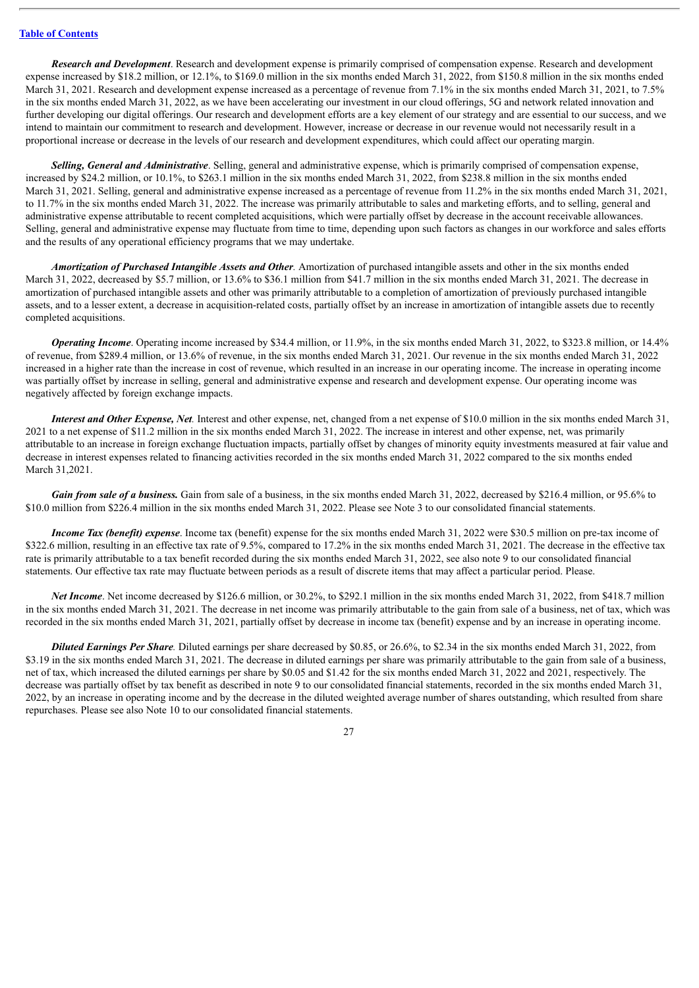*Research and Development*. Research and development expense is primarily comprised of compensation expense. Research and development expense increased by \$18.2 million, or 12.1%, to \$169.0 million in the six months ended March 31, 2022, from \$150.8 million in the six months ended March 31, 2021. Research and development expense increased as a percentage of revenue from 7.1% in the six months ended March 31, 2021, to 7.5% in the six months ended March 31, 2022, as we have been accelerating our investment in our cloud offerings, 5G and network related innovation and further developing our digital offerings. Our research and development efforts are a key element of our strategy and are essential to our success, and we intend to maintain our commitment to research and development. However, increase or decrease in our revenue would not necessarily result in a proportional increase or decrease in the levels of our research and development expenditures, which could affect our operating margin.

*Selling, General and Administrative*. Selling, general and administrative expense, which is primarily comprised of compensation expense, increased by \$24.2 million, or 10.1%, to \$263.1 million in the six months ended March 31, 2022, from \$238.8 million in the six months ended March 31, 2021. Selling, general and administrative expense increased as a percentage of revenue from 11.2% in the six months ended March 31, 2021, to 11.7% in the six months ended March 31, 2022. The increase was primarily attributable to sales and marketing efforts, and to selling, general and administrative expense attributable to recent completed acquisitions, which were partially offset by decrease in the account receivable allowances. Selling, general and administrative expense may fluctuate from time to time, depending upon such factors as changes in our workforce and sales efforts and the results of any operational efficiency programs that we may undertake.

*Amortization of Purchased Intangible Assets and Other.* Amortization of purchased intangible assets and other in the six months ended March 31, 2022, decreased by \$5.7 million, or 13.6% to \$36.1 million from \$41.7 million in the six months ended March 31, 2021. The decrease in amortization of purchased intangible assets and other was primarily attributable to a completion of amortization of previously purchased intangible assets, and to a lesser extent, a decrease in acquisition-related costs, partially offset by an increase in amortization of intangible assets due to recently completed acquisitions.

*Operating Income*. Operating income increased by \$34.4 million, or 11.9%, in the six months ended March 31, 2022, to \$323.8 million, or 14.4% of revenue, from \$289.4 million, or 13.6% of revenue, in the six months ended March 31, 2021. Our revenue in the six months ended March 31, 2022 increased in a higher rate than the increase in cost of revenue, which resulted in an increase in our operating income. The increase in operating income was partially offset by increase in selling, general and administrative expense and research and development expense. Our operating income was negatively affected by foreign exchange impacts.

*Interest and Other Expense, Net.* Interest and other expense, net, changed from a net expense of \$10.0 million in the six months ended March 31, 2021 to a net expense of \$11.2 million in the six months ended March 31, 2022. The increase in interest and other expense, net, was primarily attributable to an increase in foreign exchange fluctuation impacts, partially offset by changes of minority equity investments measured at fair value and decrease in interest expenses related to financing activities recorded in the six months ended March 31, 2022 compared to the six months ended March 31,2021.

*Gain from sale of a business.* Gain from sale of a business, in the six months ended March 31, 2022, decreased by \$216.4 million, or 95.6% to \$10.0 million from \$226.4 million in the six months ended March 31, 2022. Please see Note 3 to our consolidated financial statements.

*Income Tax (benefit) expense*. Income tax (benefit) expense for the six months ended March 31, 2022 were \$30.5 million on pre-tax income of \$322.6 million, resulting in an effective tax rate of 9.5%, compared to 17.2% in the six months ended March 31, 2021. The decrease in the effective tax rate is primarily attributable to a tax benefit recorded during the six months ended March 31, 2022, see also note 9 to our consolidated financial statements. Our effective tax rate may fluctuate between periods as a result of discrete items that may affect a particular period. Please.

*Net Income*. Net income decreased by \$126.6 million, or 30.2%, to \$292.1 million in the six months ended March 31, 2022, from \$418.7 million in the six months ended March 31, 2021. The decrease in net income was primarily attributable to the gain from sale of a business, net of tax, which was recorded in the six months ended March 31, 2021, partially offset by decrease in income tax (benefit) expense and by an increase in operating income.

*Diluted Earnings Per Share.* Diluted earnings per share decreased by \$0.85, or 26.6%, to \$2.34 in the six months ended March 31, 2022, from \$3.19 in the six months ended March 31, 2021. The decrease in diluted earnings per share was primarily attributable to the gain from sale of a business, net of tax, which increased the diluted earnings per share by \$0.05 and \$1.42 for the six months ended March 31, 2022 and 2021, respectively. The decrease was partially offset by tax benefit as described in note 9 to our consolidated financial statements, recorded in the six months ended March 31, 2022, by an increase in operating income and by the decrease in the diluted weighted average number of shares outstanding, which resulted from share repurchases. Please see also Note 10 to our consolidated financial statements.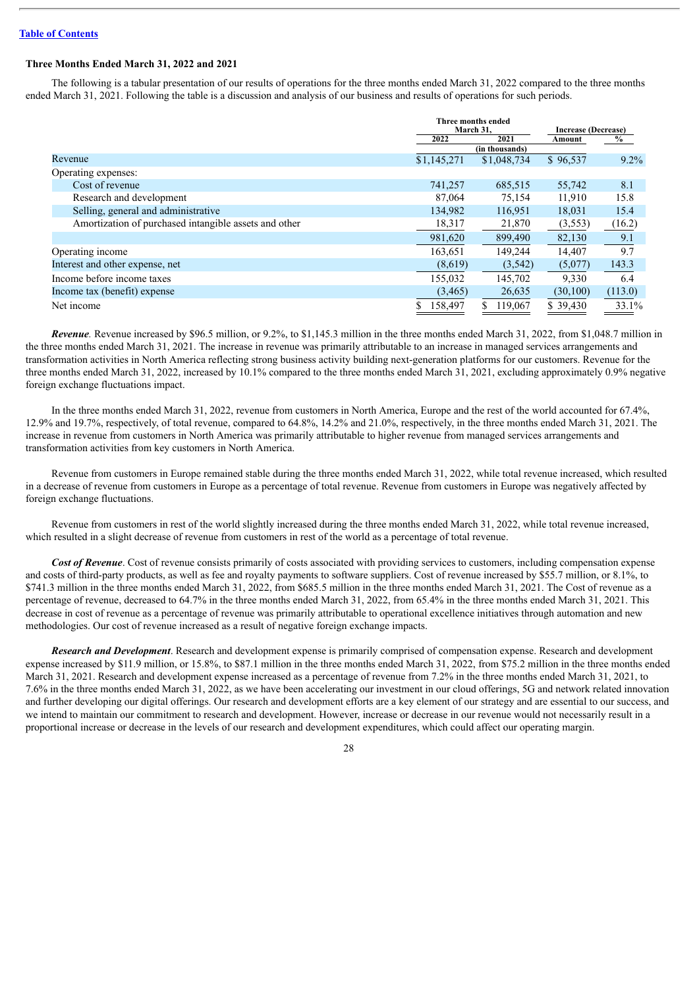### **Three Months Ended March 31, 2022 and 2021**

The following is a tabular presentation of our results of operations for the three months ended March 31, 2022 compared to the three months ended March 31, 2021. Following the table is a discussion and analysis of our business and results of operations for such periods.

|                                                       | Three months ended<br>March 31, |                | <b>Increase (Decrease)</b> |         |
|-------------------------------------------------------|---------------------------------|----------------|----------------------------|---------|
|                                                       | 2022                            | 2021           | Amount                     | $\%$    |
|                                                       |                                 | (in thousands) |                            |         |
| Revenue                                               | \$1,145,271                     | \$1,048,734    | \$96,537                   | $9.2\%$ |
| Operating expenses:                                   |                                 |                |                            |         |
| Cost of revenue                                       | 741,257                         | 685,515        | 55,742                     | 8.1     |
| Research and development                              | 87,064                          | 75,154         | 11,910                     | 15.8    |
| Selling, general and administrative                   | 134,982                         | 116,951        | 18,031                     | 15.4    |
| Amortization of purchased intangible assets and other | 18,317                          | 21,870         | (3, 553)                   | (16.2)  |
|                                                       | 981,620                         | 899,490        | 82,130                     | 9.1     |
| Operating income                                      | 163,651                         | 149.244        | 14,407                     | 9.7     |
| Interest and other expense, net                       | (8,619)                         | (3,542)        | (5,077)                    | 143.3   |
| Income before income taxes                            | 155,032                         | 145,702        | 9,330                      | 6.4     |
| Income tax (benefit) expense                          | (3,465)                         | 26,635         | (30, 100)                  | (113.0) |
| Net income                                            | 158,497                         | 119,067        | \$39,430                   | 33.1%   |

*Revenue.* Revenue increased by \$96.5 million, or 9.2%, to \$1,145.3 million in the three months ended March 31, 2022, from \$1,048.7 million in the three months ended March 31, 2021. The increase in revenue was primarily attributable to an increase in managed services arrangements and transformation activities in North America reflecting strong business activity building next-generation platforms for our customers. Revenue for the three months ended March 31, 2022, increased by 10.1% compared to the three months ended March 31, 2021, excluding approximately 0.9% negative foreign exchange fluctuations impact.

In the three months ended March 31, 2022, revenue from customers in North America, Europe and the rest of the world accounted for 67.4%, 12.9% and 19.7%, respectively, of total revenue, compared to 64.8%, 14.2% and 21.0%, respectively, in the three months ended March 31, 2021. The increase in revenue from customers in North America was primarily attributable to higher revenue from managed services arrangements and transformation activities from key customers in North America.

Revenue from customers in Europe remained stable during the three months ended March 31, 2022, while total revenue increased, which resulted in a decrease of revenue from customers in Europe as a percentage of total revenue. Revenue from customers in Europe was negatively affected by foreign exchange fluctuations.

Revenue from customers in rest of the world slightly increased during the three months ended March 31, 2022, while total revenue increased, which resulted in a slight decrease of revenue from customers in rest of the world as a percentage of total revenue.

*Cost of Revenue*. Cost of revenue consists primarily of costs associated with providing services to customers, including compensation expense and costs of third-party products, as well as fee and royalty payments to software suppliers. Cost of revenue increased by \$55.7 million, or 8.1%, to \$741.3 million in the three months ended March 31, 2022, from \$685.5 million in the three months ended March 31, 2021. The Cost of revenue as a percentage of revenue, decreased to 64.7% in the three months ended March 31, 2022, from 65.4% in the three months ended March 31, 2021. This decrease in cost of revenue as a percentage of revenue was primarily attributable to operational excellence initiatives through automation and new methodologies. Our cost of revenue increased as a result of negative foreign exchange impacts.

*Research and Development*. Research and development expense is primarily comprised of compensation expense. Research and development expense increased by \$11.9 million, or 15.8%, to \$87.1 million in the three months ended March 31, 2022, from \$75.2 million in the three months ended March 31, 2021. Research and development expense increased as a percentage of revenue from 7.2% in the three months ended March 31, 2021, to 7.6% in the three months ended March 31, 2022, as we have been accelerating our investment in our cloud offerings, 5G and network related innovation and further developing our digital offerings. Our research and development efforts are a key element of our strategy and are essential to our success, and we intend to maintain our commitment to research and development. However, increase or decrease in our revenue would not necessarily result in a proportional increase or decrease in the levels of our research and development expenditures, which could affect our operating margin.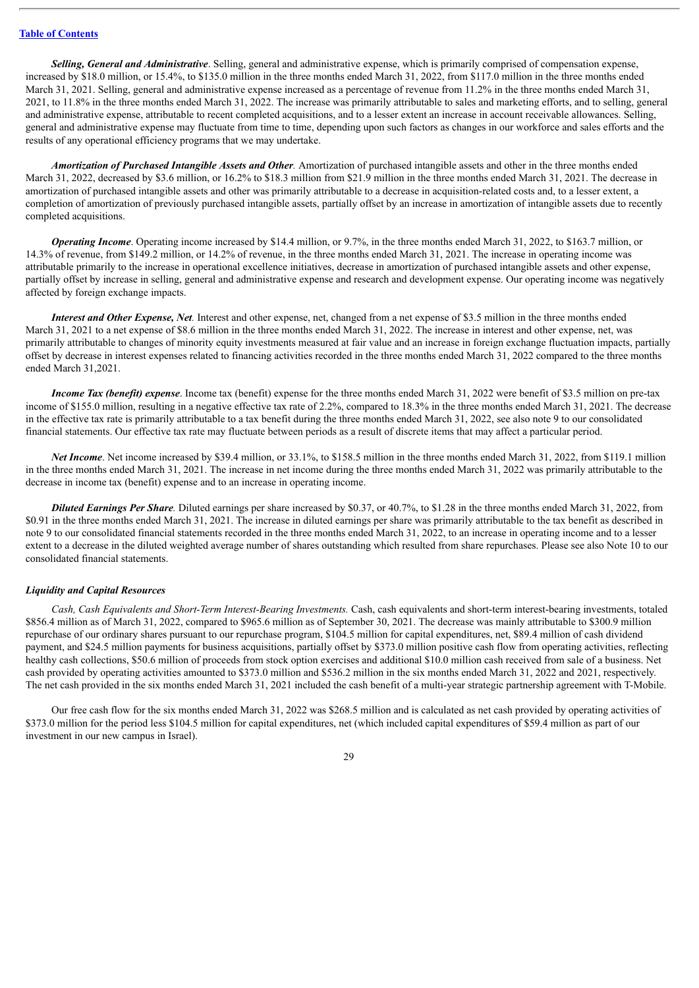*Selling, General and Administrative*. Selling, general and administrative expense, which is primarily comprised of compensation expense, increased by \$18.0 million, or 15.4%, to \$135.0 million in the three months ended March 31, 2022, from \$117.0 million in the three months ended March 31, 2021. Selling, general and administrative expense increased as a percentage of revenue from 11.2% in the three months ended March 31, 2021, to 11.8% in the three months ended March 31, 2022. The increase was primarily attributable to sales and marketing efforts, and to selling, general and administrative expense, attributable to recent completed acquisitions, and to a lesser extent an increase in account receivable allowances. Selling, general and administrative expense may fluctuate from time to time, depending upon such factors as changes in our workforce and sales efforts and the results of any operational efficiency programs that we may undertake.

*Amortization of Purchased Intangible Assets and Other.* Amortization of purchased intangible assets and other in the three months ended March 31, 2022, decreased by \$3.6 million, or 16.2% to \$18.3 million from \$21.9 million in the three months ended March 31, 2021. The decrease in amortization of purchased intangible assets and other was primarily attributable to a decrease in acquisition-related costs and, to a lesser extent, a completion of amortization of previously purchased intangible assets, partially offset by an increase in amortization of intangible assets due to recently completed acquisitions.

*Operating Income*. Operating income increased by \$14.4 million, or 9.7%, in the three months ended March 31, 2022, to \$163.7 million, or 14.3% of revenue, from \$149.2 million, or 14.2% of revenue, in the three months ended March 31, 2021. The increase in operating income was attributable primarily to the increase in operational excellence initiatives, decrease in amortization of purchased intangible assets and other expense, partially offset by increase in selling, general and administrative expense and research and development expense. Our operating income was negatively affected by foreign exchange impacts.

*Interest and Other Expense, Net.* Interest and other expense, net, changed from a net expense of \$3.5 million in the three months ended March 31, 2021 to a net expense of \$8.6 million in the three months ended March 31, 2022. The increase in interest and other expense, net, was primarily attributable to changes of minority equity investments measured at fair value and an increase in foreign exchange fluctuation impacts, partially offset by decrease in interest expenses related to financing activities recorded in the three months ended March 31, 2022 compared to the three months ended March 31,2021.

*Income Tax (benefit) expense*. Income tax (benefit) expense for the three months ended March 31, 2022 were benefit of \$3.5 million on pre-tax income of \$155.0 million, resulting in a negative effective tax rate of 2.2%, compared to 18.3% in the three months ended March 31, 2021. The decrease in the effective tax rate is primarily attributable to a tax benefit during the three months ended March 31, 2022, see also note 9 to our consolidated financial statements. Our effective tax rate may fluctuate between periods as a result of discrete items that may affect a particular period.

*Net Income*. Net income increased by \$39.4 million, or 33.1%, to \$158.5 million in the three months ended March 31, 2022, from \$119.1 million in the three months ended March 31, 2021. The increase in net income during the three months ended March 31, 2022 was primarily attributable to the decrease in income tax (benefit) expense and to an increase in operating income.

*Diluted Earnings Per Share.* Diluted earnings per share increased by \$0.37, or 40.7%, to \$1.28 in the three months ended March 31, 2022, from \$0.91 in the three months ended March 31, 2021. The increase in diluted earnings per share was primarily attributable to the tax benefit as described in note 9 to our consolidated financial statements recorded in the three months ended March 31, 2022, to an increase in operating income and to a lesser extent to a decrease in the diluted weighted average number of shares outstanding which resulted from share repurchases. Please see also Note 10 to our consolidated financial statements.

### *Liquidity and Capital Resources*

*Cash, Cash Equivalents and Short-Term Interest-Bearing Investments.* Cash, cash equivalents and short-term interest-bearing investments, totaled \$856.4 million as of March 31, 2022, compared to \$965.6 million as of September 30, 2021. The decrease was mainly attributable to \$300.9 million repurchase of our ordinary shares pursuant to our repurchase program, \$104.5 million for capital expenditures, net, \$89.4 million of cash dividend payment, and \$24.5 million payments for business acquisitions, partially offset by \$373.0 million positive cash flow from operating activities, reflecting healthy cash collections, \$50.6 million of proceeds from stock option exercises and additional \$10.0 million cash received from sale of a business. Net cash provided by operating activities amounted to \$373.0 million and \$536.2 million in the six months ended March 31, 2022 and 2021, respectively. The net cash provided in the six months ended March 31, 2021 included the cash benefit of a multi-year strategic partnership agreement with T-Mobile.

Our free cash flow for the six months ended March 31, 2022 was \$268.5 million and is calculated as net cash provided by operating activities of \$373.0 million for the period less \$104.5 million for capital expenditures, net (which included capital expenditures of \$59.4 million as part of our investment in our new campus in Israel).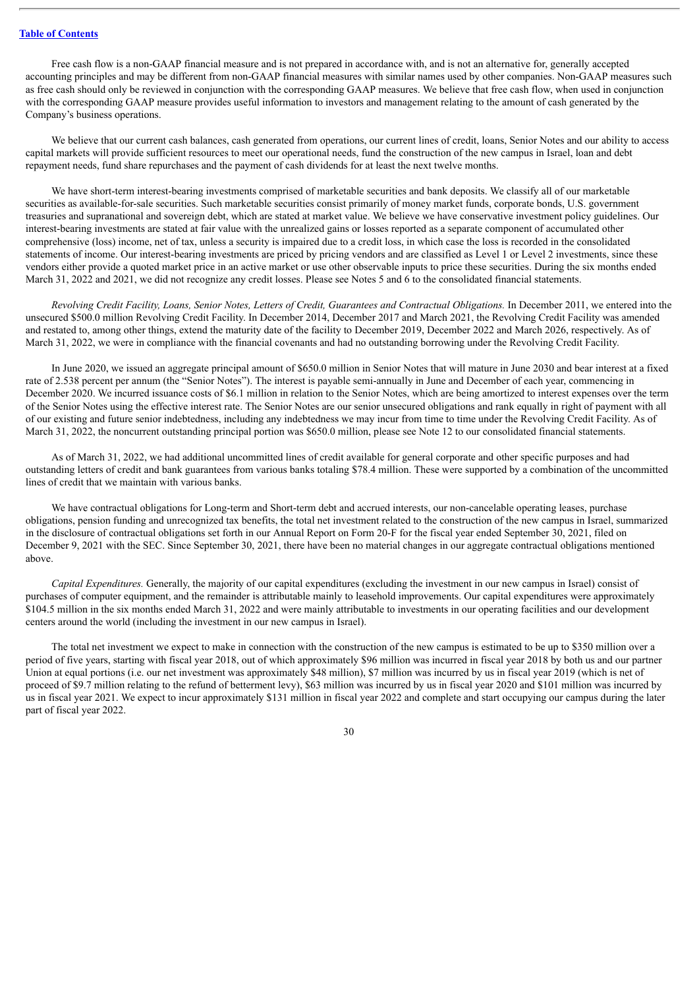Free cash flow is a non-GAAP financial measure and is not prepared in accordance with, and is not an alternative for, generally accepted accounting principles and may be different from non-GAAP financial measures with similar names used by other companies. Non-GAAP measures such as free cash should only be reviewed in conjunction with the corresponding GAAP measures. We believe that free cash flow, when used in conjunction with the corresponding GAAP measure provides useful information to investors and management relating to the amount of cash generated by the Company's business operations.

We believe that our current cash balances, cash generated from operations, our current lines of credit, loans, Senior Notes and our ability to access capital markets will provide sufficient resources to meet our operational needs, fund the construction of the new campus in Israel, loan and debt repayment needs, fund share repurchases and the payment of cash dividends for at least the next twelve months.

We have short-term interest-bearing investments comprised of marketable securities and bank deposits. We classify all of our marketable securities as available-for-sale securities. Such marketable securities consist primarily of money market funds, corporate bonds, U.S. government treasuries and supranational and sovereign debt, which are stated at market value. We believe we have conservative investment policy guidelines. Our interest-bearing investments are stated at fair value with the unrealized gains or losses reported as a separate component of accumulated other comprehensive (loss) income, net of tax, unless a security is impaired due to a credit loss, in which case the loss is recorded in the consolidated statements of income. Our interest-bearing investments are priced by pricing vendors and are classified as Level 1 or Level 2 investments, since these vendors either provide a quoted market price in an active market or use other observable inputs to price these securities. During the six months ended March 31, 2022 and 2021, we did not recognize any credit losses. Please see Notes 5 and 6 to the consolidated financial statements.

Revolving Credit Facility, Loans, Senior Notes, Letters of Credit, Guarantees and Contractual Obligations. In December 2011, we entered into the unsecured \$500.0 million Revolving Credit Facility. In December 2014, December 2017 and March 2021, the Revolving Credit Facility was amended and restated to, among other things, extend the maturity date of the facility to December 2019, December 2022 and March 2026, respectively. As of March 31, 2022, we were in compliance with the financial covenants and had no outstanding borrowing under the Revolving Credit Facility.

In June 2020, we issued an aggregate principal amount of \$650.0 million in Senior Notes that will mature in June 2030 and bear interest at a fixed rate of 2.538 percent per annum (the "Senior Notes"). The interest is payable semi-annually in June and December of each year, commencing in December 2020. We incurred issuance costs of \$6.1 million in relation to the Senior Notes, which are being amortized to interest expenses over the term of the Senior Notes using the effective interest rate. The Senior Notes are our senior unsecured obligations and rank equally in right of payment with all of our existing and future senior indebtedness, including any indebtedness we may incur from time to time under the Revolving Credit Facility. As of March 31, 2022, the noncurrent outstanding principal portion was \$650.0 million, please see Note 12 to our consolidated financial statements.

As of March 31, 2022, we had additional uncommitted lines of credit available for general corporate and other specific purposes and had outstanding letters of credit and bank guarantees from various banks totaling \$78.4 million. These were supported by a combination of the uncommitted lines of credit that we maintain with various banks.

We have contractual obligations for Long-term and Short-term debt and accrued interests, our non-cancelable operating leases, purchase obligations, pension funding and unrecognized tax benefits, the total net investment related to the construction of the new campus in Israel, summarized in the disclosure of contractual obligations set forth in our Annual Report on Form 20-F for the fiscal year ended September 30, 2021, filed on December 9, 2021 with the SEC. Since September 30, 2021, there have been no material changes in our aggregate contractual obligations mentioned above.

*Capital Expenditures.* Generally, the majority of our capital expenditures (excluding the investment in our new campus in Israel) consist of purchases of computer equipment, and the remainder is attributable mainly to leasehold improvements. Our capital expenditures were approximately \$104.5 million in the six months ended March 31, 2022 and were mainly attributable to investments in our operating facilities and our development centers around the world (including the investment in our new campus in Israel).

The total net investment we expect to make in connection with the construction of the new campus is estimated to be up to \$350 million over a period of five years, starting with fiscal year 2018, out of which approximately \$96 million was incurred in fiscal year 2018 by both us and our partner Union at equal portions (i.e. our net investment was approximately \$48 million), \$7 million was incurred by us in fiscal year 2019 (which is net of proceed of \$9.7 million relating to the refund of betterment levy), \$63 million was incurred by us in fiscal year 2020 and \$101 million was incurred by us in fiscal year 2021. We expect to incur approximately \$131 million in fiscal year 2022 and complete and start occupying our campus during the later part of fiscal year 2022.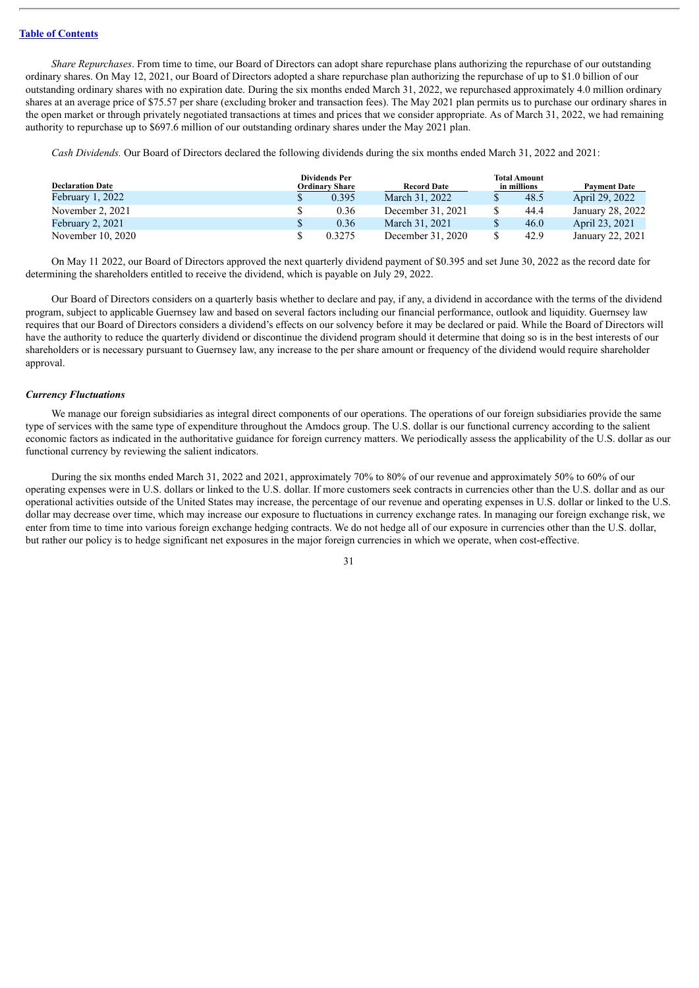*Share Repurchases*. From time to time, our Board of Directors can adopt share repurchase plans authorizing the repurchase of our outstanding ordinary shares. On May 12, 2021, our Board of Directors adopted a share repurchase plan authorizing the repurchase of up to \$1.0 billion of our outstanding ordinary shares with no expiration date. During the six months ended March 31, 2022, we repurchased approximately 4.0 million ordinary shares at an average price of \$75.57 per share (excluding broker and transaction fees). The May 2021 plan permits us to purchase our ordinary shares in the open market or through privately negotiated transactions at times and prices that we consider appropriate. As of March 31, 2022, we had remaining authority to repurchase up to \$697.6 million of our outstanding ordinary shares under the May 2021 plan.

*Cash Dividends.* Our Board of Directors declared the following dividends during the six months ended March 31, 2022 and 2021:

| <b>Declaration Date</b> | <b>Dividends Per</b><br><b>Ordinary Share</b><br><b>Record Date</b> |                   | <b>Total Amount</b><br>in millions |      |                  |
|-------------------------|---------------------------------------------------------------------|-------------------|------------------------------------|------|------------------|
| February $1, 2022$      | 0.395                                                               | March 31, 2022    |                                    | 48.5 | April 29, 2022   |
| November 2, 2021        | 0.36                                                                | December 31, 2021 |                                    | 44.4 | January 28, 2022 |
| February 2, 2021        | 0.36                                                                | March 31, 2021    |                                    | 46.0 | April 23, 2021   |
| November 10, 2020       | 0.3275                                                              | December 31, 2020 |                                    | 42.9 | January 22, 2021 |

On May 11 2022, our Board of Directors approved the next quarterly dividend payment of \$0.395 and set June 30, 2022 as the record date for determining the shareholders entitled to receive the dividend, which is payable on July 29, 2022.

Our Board of Directors considers on a quarterly basis whether to declare and pay, if any, a dividend in accordance with the terms of the dividend program, subject to applicable Guernsey law and based on several factors including our financial performance, outlook and liquidity. Guernsey law requires that our Board of Directors considers a dividend's effects on our solvency before it may be declared or paid. While the Board of Directors will have the authority to reduce the quarterly dividend or discontinue the dividend program should it determine that doing so is in the best interests of our shareholders or is necessary pursuant to Guernsey law, any increase to the per share amount or frequency of the dividend would require shareholder approval.

#### *Currency Fluctuations*

We manage our foreign subsidiaries as integral direct components of our operations. The operations of our foreign subsidiaries provide the same type of services with the same type of expenditure throughout the Amdocs group. The U.S. dollar is our functional currency according to the salient economic factors as indicated in the authoritative guidance for foreign currency matters. We periodically assess the applicability of the U.S. dollar as our functional currency by reviewing the salient indicators.

During the six months ended March 31, 2022 and 2021, approximately 70% to 80% of our revenue and approximately 50% to 60% of our operating expenses were in U.S. dollars or linked to the U.S. dollar. If more customers seek contracts in currencies other than the U.S. dollar and as our operational activities outside of the United States may increase, the percentage of our revenue and operating expenses in U.S. dollar or linked to the U.S. dollar may decrease over time, which may increase our exposure to fluctuations in currency exchange rates. In managing our foreign exchange risk, we enter from time to time into various foreign exchange hedging contracts. We do not hedge all of our exposure in currencies other than the U.S. dollar, but rather our policy is to hedge significant net exposures in the major foreign currencies in which we operate, when cost-effective.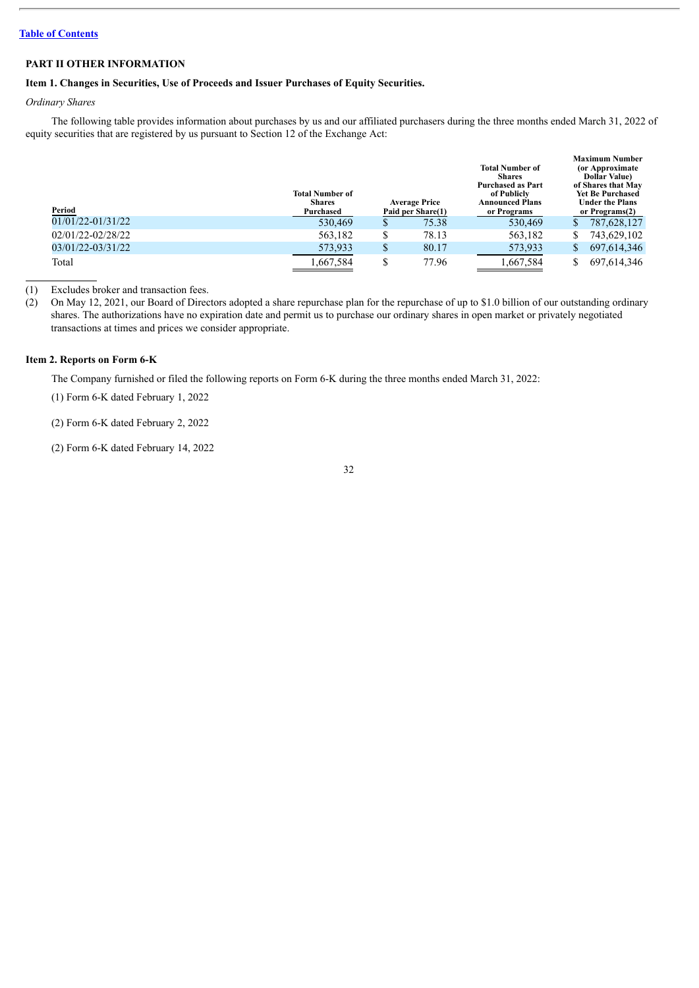### <span id="page-31-0"></span>**PART II OTHER INFORMATION**

### <span id="page-31-1"></span>**Item 1. Changes in Securities, Use of Proceeds and Issuer Purchases of Equity Securities.**

### *Ordinary Shares*

The following table provides information about purchases by us and our affiliated purchasers during the three months ended March 31, 2022 of equity securities that are registered by us pursuant to Section 12 of the Exchange Act:

| Period            | <b>Total Number of</b><br><b>Shares</b><br>Purchased |    | <b>Average Price</b><br>Paid per Share(1) | <b>Total Number of</b><br><b>Shares</b><br><b>Purchased as Part</b><br>of Publicly<br><b>Announced Plans</b><br>or Programs |    | <b>Maximum Number</b><br>(or Approximate)<br><b>Dollar Value</b><br>of Shares that May<br><b>Yet Be Purchased</b><br><b>Under the Plans</b><br>or Programs(2) |
|-------------------|------------------------------------------------------|----|-------------------------------------------|-----------------------------------------------------------------------------------------------------------------------------|----|---------------------------------------------------------------------------------------------------------------------------------------------------------------|
| 01/01/22-01/31/22 | 530,469                                              | S  | 75.38                                     | 530,469                                                                                                                     | S. | 787,628,127                                                                                                                                                   |
| 02/01/22-02/28/22 | 563.182                                              | \$ | 78.13                                     | 563,182                                                                                                                     |    | 743,629,102                                                                                                                                                   |
| 03/01/22-03/31/22 | 573,933                                              | \$ | 80.17                                     | 573,933                                                                                                                     | S. | 697, 614, 346                                                                                                                                                 |
| Total             | 1,667,584                                            | \$ | 77.96                                     | 1,667,584                                                                                                                   |    | 697,614,346                                                                                                                                                   |

(1) Excludes broker and transaction fees.

(2) On May 12, 2021, our Board of Directors adopted a share repurchase plan for the repurchase of up to \$1.0 billion of our outstanding ordinary shares. The authorizations have no expiration date and permit us to purchase our ordinary shares in open market or privately negotiated transactions at times and prices we consider appropriate.

### <span id="page-31-2"></span>**Item 2. Reports on Form 6-K**

The Company furnished or filed the following reports on Form 6-K during the three months ended March 31, 2022:

(1) Form 6-K dated February 1, 2022

(2) Form 6-K dated February 2, 2022

(2) Form 6-K dated February 14, 2022